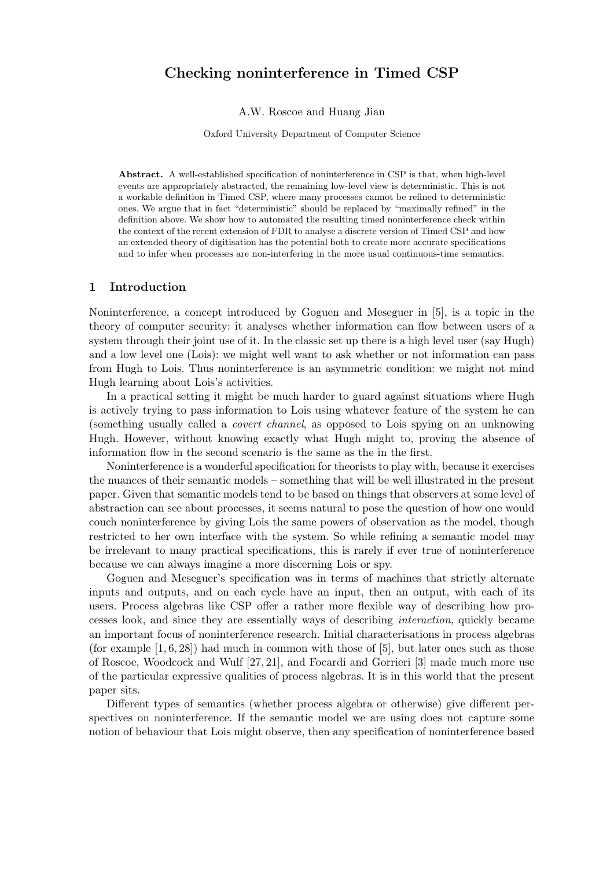# Checking noninterference in Timed CSP

A.W. Roscoe and Huang Jian

Oxford University Department of Computer Science

Abstract. A well-established specification of noninterference in CSP is that, when high-level events are appropriately abstracted, the remaining low-level view is deterministic. This is not a workable definition in Timed CSP, where many processes cannot be refined to deterministic ones. We argue that in fact "deterministic" should be replaced by "maximally refined" in the definition above. We show how to automated the resulting timed noninterference check within the context of the recent extension of FDR to analyse a discrete version of Timed CSP and how an extended theory of digitisation has the potential both to create more accurate specifications and to infer when processes are non-interfering in the more usual continuous-time semantics.

## 1 Introduction

Noninterference, a concept introduced by Goguen and Meseguer in [5], is a topic in the theory of computer security: it analyses whether information can flow between users of a system through their joint use of it. In the classic set up there is a high level user (say Hugh) and a low level one (Lois): we might well want to ask whether or not information can pass from Hugh to Lois. Thus noninterference is an asymmetric condition: we might not mind Hugh learning about Lois's activities.

In a practical setting it might be much harder to guard against situations where Hugh is actively trying to pass information to Lois using whatever feature of the system he can (something usually called a covert channel, as opposed to Lois spying on an unknowing Hugh. However, without knowing exactly what Hugh might to, proving the absence of information flow in the second scenario is the same as the in the first.

Noninterference is a wonderful specification for theorists to play with, because it exercises the nuances of their semantic models – something that will be well illustrated in the present paper. Given that semantic models tend to be based on things that observers at some level of abstraction can see about processes, it seems natural to pose the question of how one would couch noninterference by giving Lois the same powers of observation as the model, though restricted to her own interface with the system. So while refining a semantic model may be irrelevant to many practical specifications, this is rarely if ever true of noninterference because we can always imagine a more discerning Lois or spy.

Goguen and Meseguer's specification was in terms of machines that strictly alternate inputs and outputs, and on each cycle have an input, then an output, with each of its users. Process algebras like CSP offer a rather more flexible way of describing how processes look, and since they are essentially ways of describing interaction, quickly became an important focus of noninterference research. Initial characterisations in process algebras (for example  $[1, 6, 28]$ ) had much in common with those of  $[5]$ , but later ones such as those of Roscoe, Woodcock and Wulf [27, 21], and Focardi and Gorrieri [3] made much more use of the particular expressive qualities of process algebras. It is in this world that the present paper sits.

Different types of semantics (whether process algebra or otherwise) give different perspectives on noninterference. If the semantic model we are using does not capture some notion of behaviour that Lois might observe, then any specification of noninterference based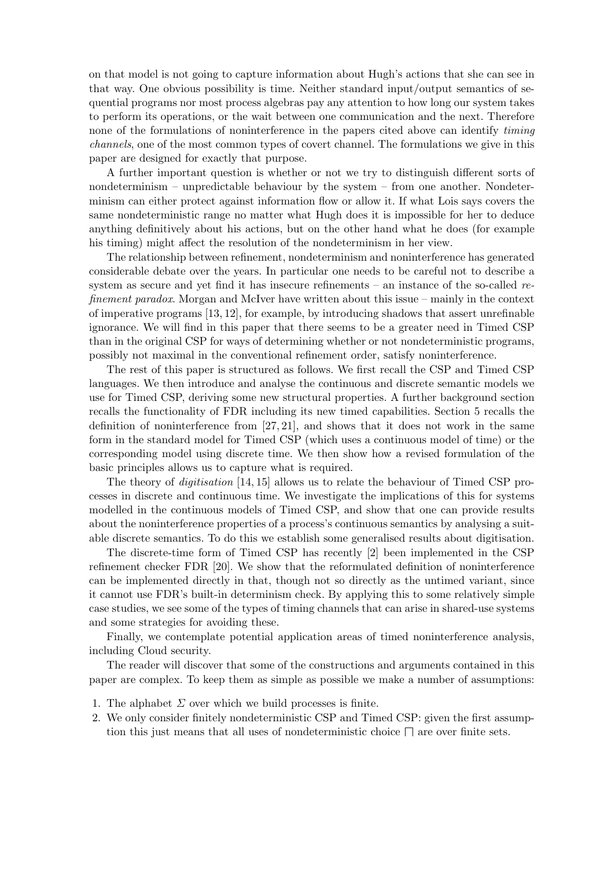on that model is not going to capture information about Hugh's actions that she can see in that way. One obvious possibility is time. Neither standard input/output semantics of sequential programs nor most process algebras pay any attention to how long our system takes to perform its operations, or the wait between one communication and the next. Therefore none of the formulations of noninterference in the papers cited above can identify  $\lim_{n \to \infty}$ channels, one of the most common types of covert channel. The formulations we give in this paper are designed for exactly that purpose.

A further important question is whether or not we try to distinguish different sorts of nondeterminism – unpredictable behaviour by the system – from one another. Nondeterminism can either protect against information flow or allow it. If what Lois says covers the same nondeterministic range no matter what Hugh does it is impossible for her to deduce anything definitively about his actions, but on the other hand what he does (for example his timing) might affect the resolution of the nondeterminism in her view.

The relationship between refinement, nondeterminism and noninterference has generated considerable debate over the years. In particular one needs to be careful not to describe a system as secure and yet find it has insecure refinements – an instance of the so-called refinement paradox. Morgan and McIver have written about this issue – mainly in the context of imperative programs [13, 12], for example, by introducing shadows that assert unrefinable ignorance. We will find in this paper that there seems to be a greater need in Timed CSP than in the original CSP for ways of determining whether or not nondeterministic programs, possibly not maximal in the conventional refinement order, satisfy noninterference.

The rest of this paper is structured as follows. We first recall the CSP and Timed CSP languages. We then introduce and analyse the continuous and discrete semantic models we use for Timed CSP, deriving some new structural properties. A further background section recalls the functionality of FDR including its new timed capabilities. Section 5 recalls the definition of noninterference from  $[27, 21]$ , and shows that it does not work in the same form in the standard model for Timed CSP (which uses a continuous model of time) or the corresponding model using discrete time. We then show how a revised formulation of the basic principles allows us to capture what is required.

The theory of digitisation [14, 15] allows us to relate the behaviour of Timed CSP processes in discrete and continuous time. We investigate the implications of this for systems modelled in the continuous models of Timed CSP, and show that one can provide results about the noninterference properties of a process's continuous semantics by analysing a suitable discrete semantics. To do this we establish some generalised results about digitisation.

The discrete-time form of Timed CSP has recently [2] been implemented in the CSP refinement checker FDR [20]. We show that the reformulated definition of noninterference can be implemented directly in that, though not so directly as the untimed variant, since it cannot use FDR's built-in determinism check. By applying this to some relatively simple case studies, we see some of the types of timing channels that can arise in shared-use systems and some strategies for avoiding these.

Finally, we contemplate potential application areas of timed noninterference analysis, including Cloud security.

The reader will discover that some of the constructions and arguments contained in this paper are complex. To keep them as simple as possible we make a number of assumptions:

- 1. The alphabet  $\Sigma$  over which we build processes is finite.
- 2. We only consider finitely nondeterministic CSP and Timed CSP: given the first assumption this just means that all uses of nondeterministic choice  $\Box$  are over finite sets.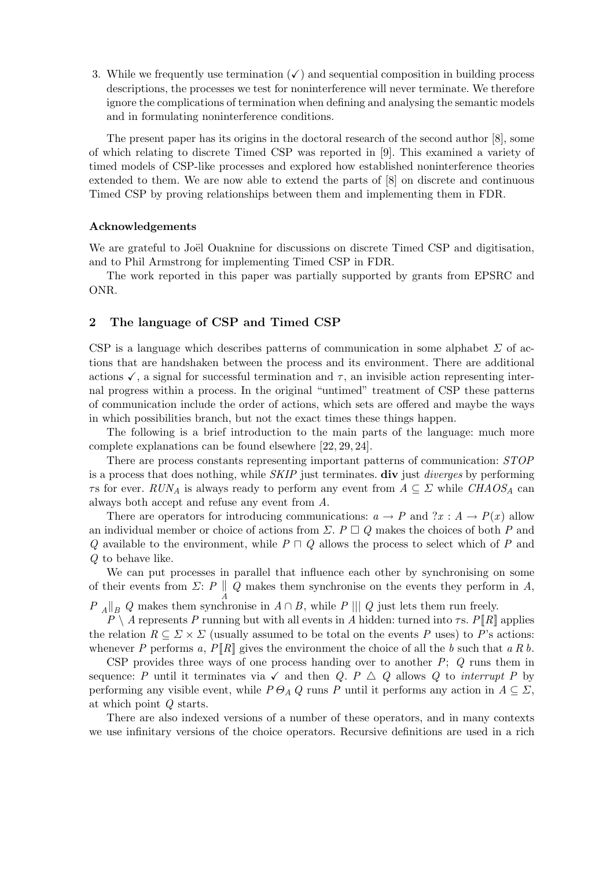3. While we frequently use termination  $(\checkmark)$  and sequential composition in building process descriptions, the processes we test for noninterference will never terminate. We therefore ignore the complications of termination when defining and analysing the semantic models and in formulating noninterference conditions.

The present paper has its origins in the doctoral research of the second author [8], some of which relating to discrete Timed CSP was reported in [9]. This examined a variety of timed models of CSP-like processes and explored how established noninterference theories extended to them. We are now able to extend the parts of [8] on discrete and continuous Timed CSP by proving relationships between them and implementing them in FDR.

#### Acknowledgements

We are grateful to Joël Ouaknine for discussions on discrete Timed CSP and digitisation, and to Phil Armstrong for implementing Timed CSP in FDR.

The work reported in this paper was partially supported by grants from EPSRC and ONR.

# 2 The language of CSP and Timed CSP

CSP is a language which describes patterns of communication in some alphabet  $\Sigma$  of actions that are handshaken between the process and its environment. There are additional actions  $\checkmark$ , a signal for successful termination and  $\tau$ , an invisible action representing internal progress within a process. In the original "untimed" treatment of CSP these patterns of communication include the order of actions, which sets are offered and maybe the ways in which possibilities branch, but not the exact times these things happen.

The following is a brief introduction to the main parts of the language: much more complete explanations can be found elsewhere [22, 29, 24].

There are process constants representing important patterns of communication: STOP is a process that does nothing, while *SKIP* just terminates. **div** just *diverges* by performing  $\tau$ s for ever. RUN<sub>A</sub> is always ready to perform any event from  $A \subseteq \Sigma$  while CHAOS<sub>A</sub> can always both accept and refuse any event from A.

There are operators for introducing communications:  $a \to P$  and  $?x : A \to P(x)$  allow an individual member or choice of actions from  $\Sigma$ .  $P \square Q$  makes the choices of both P and Q available to the environment, while  $P \sqcap Q$  allows the process to select which of P and Q to behave like.

We can put processes in parallel that influence each other by synchronising on some of their events from  $\Sigma: P \parallel Q$  makes them synchronise on the events they perform in A, A

 $P_A \parallel_B Q$  makes them synchronise in  $A \cap B$ , while P ||| Q just lets them run freely.  $P \setminus A$  represents P running but with all events in A hidden: turned into  $\tau s$ .  $P[\![R]\!]$  applies the relation  $R \subseteq \Sigma \times \Sigma$  (usually assumed to be total on the events P uses) to P's actions: whenever P performs a,  $P[\![R]\!]$  gives the environment the choice of all the b such that a R b.

CSP provides three ways of one process handing over to another  $P$ ;  $Q$  runs them in sequence: P until it terminates via  $\checkmark$  and then Q. P  $\Delta$  Q allows Q to interrupt P by performing any visible event, while  $P \Theta_A Q$  runs P until it performs any action in  $A \subseteq \Sigma$ , at which point Q starts.

There are also indexed versions of a number of these operators, and in many contexts we use infinitary versions of the choice operators. Recursive definitions are used in a rich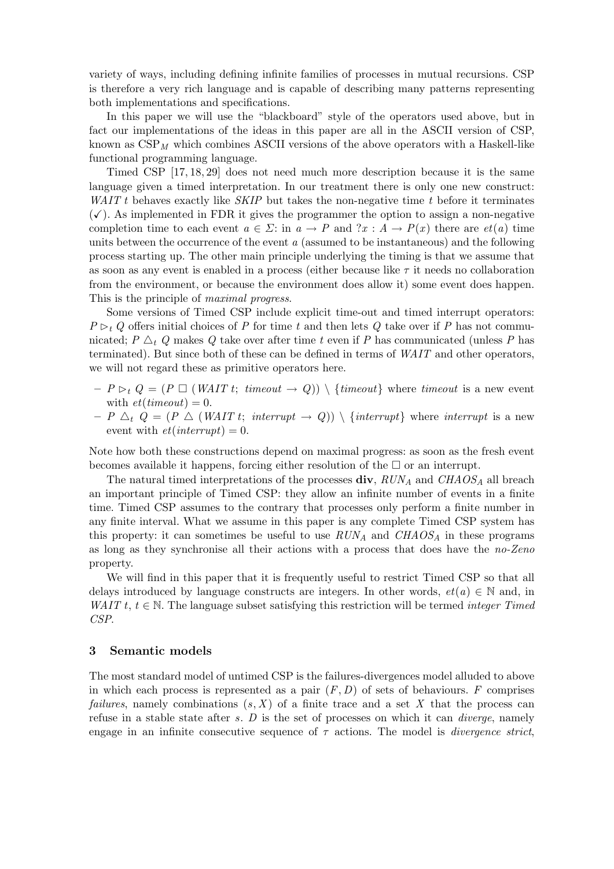variety of ways, including defining infinite families of processes in mutual recursions. CSP is therefore a very rich language and is capable of describing many patterns representing both implementations and specifications.

In this paper we will use the "blackboard" style of the operators used above, but in fact our implementations of the ideas in this paper are all in the ASCII version of CSP, known as  $CSP_M$  which combines ASCII versions of the above operators with a Haskell-like functional programming language.

Timed CSP [17, 18, 29] does not need much more description because it is the same language given a timed interpretation. In our treatment there is only one new construct:  $WAIT t$  behaves exactly like *SKIP* but takes the non-negative time  $t$  before it terminates  $(\checkmark)$ . As implemented in FDR it gives the programmer the option to assign a non-negative completion time to each event  $a \in \Sigma$ : in  $a \to P$  and  $?x : A \to P(x)$  there are  $et(a)$  time units between the occurrence of the event a (assumed to be instantaneous) and the following process starting up. The other main principle underlying the timing is that we assume that as soon as any event is enabled in a process (either because like  $\tau$  it needs no collaboration from the environment, or because the environment does allow it) some event does happen. This is the principle of maximal progress.

Some versions of Timed CSP include explicit time-out and timed interrupt operators:  $P \rhd_t Q$  offers initial choices of P for time t and then lets Q take over if P has not communicated;  $P \Delta_t Q$  makes Q take over after time t even if P has communicated (unless P has terminated). But since both of these can be defined in terms of WAIT and other operators, we will not regard these as primitive operators here.

- $P \rhd_t Q = (P \square (WAIT t; timeout \rightarrow Q)) \setminus {timeout}$  where timeout is a new event with  $et(timeout) = 0$ .
- P  $\Delta_t$   $Q = (P \Delta (WAIT t; interrupt \rightarrow Q)) \setminus {interrupt}$  where interrupt is a new event with  $et(interrupt) = 0.$

Note how both these constructions depend on maximal progress: as soon as the fresh event becomes available it happens, forcing either resolution of the  $\Box$  or an interrupt.

The natural timed interpretations of the processes  $div$ ,  $RUN_A$  and  $CHAOS_A$  all breach an important principle of Timed CSP: they allow an infinite number of events in a finite time. Timed CSP assumes to the contrary that processes only perform a finite number in any finite interval. What we assume in this paper is any complete Timed CSP system has this property: it can sometimes be useful to use  $RUN_A$  and  $CHAOS_A$  in these programs as long as they synchronise all their actions with a process that does have the no-Zeno property.

We will find in this paper that it is frequently useful to restrict Timed CSP so that all delays introduced by language constructs are integers. In other words,  $et(a) \in \mathbb{N}$  and, in WAIT t,  $t \in \mathbb{N}$ . The language subset satisfying this restriction will be termed integer Timed CSP.

### 3 Semantic models

The most standard model of untimed CSP is the failures-divergences model alluded to above in which each process is represented as a pair  $(F, D)$  of sets of behaviours. F comprises failures, namely combinations  $(s, X)$  of a finite trace and a set X that the process can refuse in a stable state after  $s$ .  $D$  is the set of processes on which it can *diverge*, namely engage in an infinite consecutive sequence of  $\tau$  actions. The model is *divergence strict*,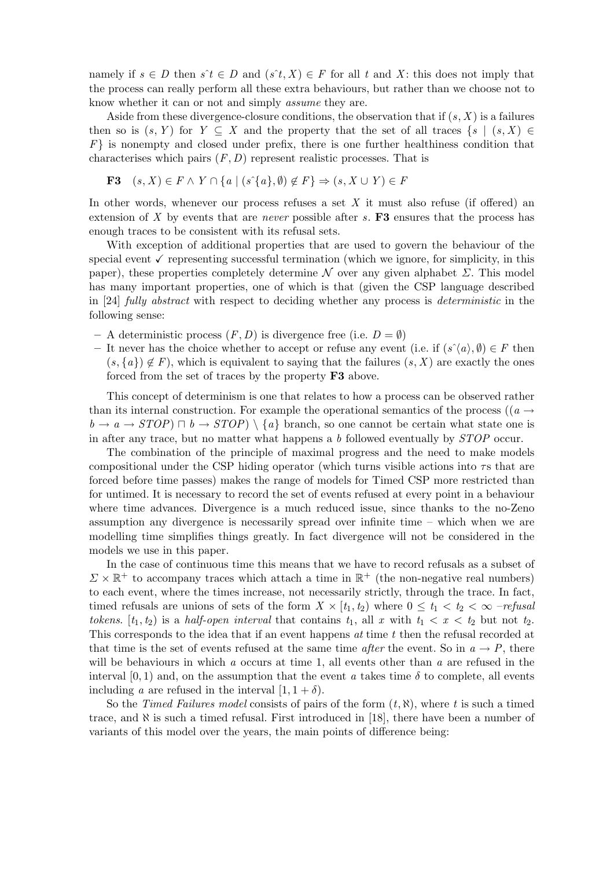namely if  $s \in D$  then  $s^t \in D$  and  $(s^t, X) \in F$  for all t and X; this does not imply that the process can really perform all these extra behaviours, but rather than we choose not to know whether it can or not and simply assume they are.

Aside from these divergence-closure conditions, the observation that if  $(s, X)$  is a failures then so is  $(s, Y)$  for  $Y \subseteq X$  and the property that the set of all traces  $\{s \mid (s, X) \in$  $F\}$  is nonempty and closed under prefix, there is one further healthiness condition that characterises which pairs  $(F, D)$  represent realistic processes. That is

**F3** 
$$
(s, X) \in F \land Y \cap \{a \mid (s \hat{a}, \emptyset) \notin F\} \Rightarrow (s, X \cup Y) \in F
$$

In other words, whenever our process refuses a set  $X$  it must also refuse (if offered) an extension of X by events that are *never* possible after s. **F3** ensures that the process has enough traces to be consistent with its refusal sets.

With exception of additional properties that are used to govern the behaviour of the special event  $\checkmark$  representing successful termination (which we ignore, for simplicity, in this paper), these properties completely determine  $\mathcal N$  over any given alphabet  $\Sigma$ . This model has many important properties, one of which is that (given the CSP language described in [24] fully abstract with respect to deciding whether any process is deterministic in the following sense:

- A deterministic process  $(F, D)$  is divergence free (i.e.  $D = \emptyset$ )
- It never has the choice whether to accept or refuse any event (i.e. if  $(s<sup>2</sup>(a), \emptyset) \in F$  then  $(s, \{a\}) \notin F$ , which is equivalent to saying that the failures  $(s, X)$  are exactly the ones forced from the set of traces by the property F3 above.

This concept of determinism is one that relates to how a process can be observed rather than its internal construction. For example the operational semantics of the process (( $a \rightarrow$  $b \to a \to STOP$   $\Box$   $b \to STOP$   $\setminus \{a\}$  branch, so one cannot be certain what state one is in after any trace, but no matter what happens a  $b$  followed eventually by  $STOP$  occur.

The combination of the principle of maximal progress and the need to make models compositional under the CSP hiding operator (which turns visible actions into  $\tau s$  that are forced before time passes) makes the range of models for Timed CSP more restricted than for untimed. It is necessary to record the set of events refused at every point in a behaviour where time advances. Divergence is a much reduced issue, since thanks to the no-Zeno assumption any divergence is necessarily spread over infinite time – which when we are modelling time simplifies things greatly. In fact divergence will not be considered in the models we use in this paper.

In the case of continuous time this means that we have to record refusals as a subset of  $\Sigma \times \mathbb{R}^+$  to accompany traces which attach a time in  $\mathbb{R}^+$  (the non-negative real numbers) to each event, where the times increase, not necessarily strictly, through the trace. In fact, timed refusals are unions of sets of the form  $X \times [t_1, t_2)$  where  $0 \le t_1 < t_2 < \infty$  -refusal tokens.  $[t_1, t_2]$  is a half-open interval that contains  $t_1$ , all x with  $t_1 < x < t_2$  but not  $t_2$ . This corresponds to the idea that if an event happens at time t then the refusal recorded at that time is the set of events refused at the same time after the event. So in  $a \to P$ , there will be behaviours in which  $a$  occurs at time 1, all events other than  $a$  are refused in the interval  $[0, 1)$  and, on the assumption that the event a takes time  $\delta$  to complete, all events including a are refused in the interval  $[1, 1 + \delta)$ .

So the Timed Failures model consists of pairs of the form  $(t, \aleph)$ , where t is such a timed trace, and  $\aleph$  is such a timed refusal. First introduced in [18], there have been a number of variants of this model over the years, the main points of difference being: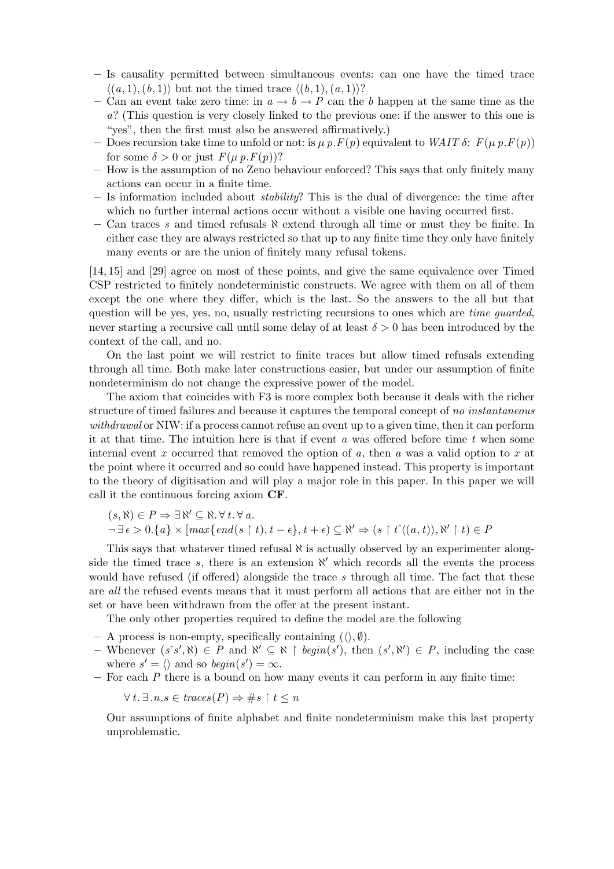- Is causality permitted between simultaneous events: can one have the timed trace  $\langle (a, 1), (b, 1) \rangle$  but not the timed trace  $\langle (b, 1), (a, 1) \rangle$ ?
- Can an event take zero time: in  $a \to b \to P$  can the b happen at the same time as the a? (This question is very closely linked to the previous one: if the answer to this one is "yes", then the first must also be answered affirmatively.)
- Does recursion take time to unfold or not: is  $\mu p.F(p)$  equivalent to  $WAIT \delta$ ;  $F(\mu p.F(p))$ for some  $\delta > 0$  or just  $F(\mu p.F(p))$ ?
- How is the assumption of no Zeno behaviour enforced? This says that only finitely many actions can occur in a finite time.
- Is information included about stability? This is the dual of divergence: the time after which no further internal actions occur without a visible one having occurred first.
- Can traces s and timed refusals  $\aleph$  extend through all time or must they be finite. In either case they are always restricted so that up to any finite time they only have finitely many events or are the union of finitely many refusal tokens.

[14, 15] and [29] agree on most of these points, and give the same equivalence over Timed CSP restricted to finitely nondeterministic constructs. We agree with them on all of them except the one where they differ, which is the last. So the answers to the all but that question will be yes, yes, no, usually restricting recursions to ones which are time guarded, never starting a recursive call until some delay of at least  $\delta > 0$  has been introduced by the context of the call, and no.

On the last point we will restrict to finite traces but allow timed refusals extending through all time. Both make later constructions easier, but under our assumption of finite nondeterminism do not change the expressive power of the model.

The axiom that coincides with F3 is more complex both because it deals with the richer structure of timed failures and because it captures the temporal concept of no instantaneous withdrawal or NIW: if a process cannot refuse an event up to a given time, then it can perform it at that time. The intuition here is that if event  $a$  was offered before time  $t$  when some internal event x occurred that removed the option of  $a$ , then  $a$  was a valid option to  $x$  at the point where it occurred and so could have happened instead. This property is important to the theory of digitisation and will play a major role in this paper. In this paper we will call it the continuous forcing axiom CF.

$$
(s,\aleph)\in P\Rightarrow\exists\aleph'\subseteq\aleph.\forall\,t.\,\forall\,a.
$$
  

$$
\neg\exists\,\epsilon>0.\{a\}\times[\max\{end(s\upharpoonright t),t-\epsilon\},t+\epsilon)\subseteq\aleph'\Rightarrow(s\upharpoonright t\hat{\ }((a,t)),\aleph'\upharpoonright t)\in P
$$

This says that whatever timed refusal  $\aleph$  is actually observed by an experimenter alongside the timed trace  $s$ , there is an extension  $\aleph'$  which records all the events the process would have refused (if offered) alongside the trace s through all time. The fact that these are all the refused events means that it must perform all actions that are either not in the set or have been withdrawn from the offer at the present instant.

The only other properties required to define the model are the following

- A process is non-empty, specifically containing  $(\langle \rangle, \emptyset)$ .
- Whenever  $(s^s, \aleph) \in P$  and  $\aleph' \subseteq \aleph \upharpoonright \text{begin}(s', \aleph')$ , then  $(s', \aleph') \in P$ , including the case where  $s' = \langle \rangle$  and so  $begin(s') = \infty$ .
- $-$  For each  $P$  there is a bound on how many events it can perform in any finite time:

$$
\forall t. \exists . n. s \in traces(P) \Rightarrow \#s \upharpoonright t \le n
$$

Our assumptions of finite alphabet and finite nondeterminism make this last property unproblematic.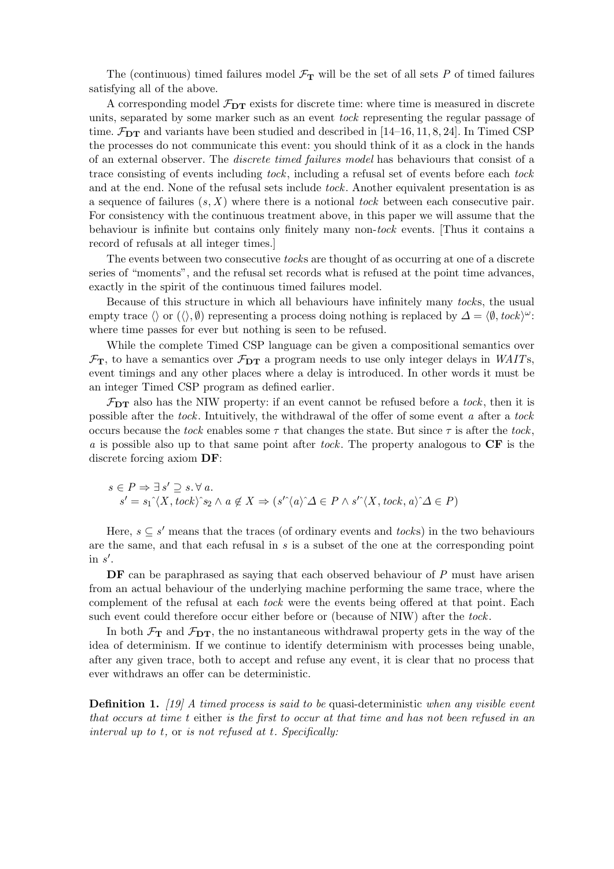The (continuous) timed failures model  $\mathcal{F}_{\mathbf{T}}$  will be the set of all sets P of timed failures satisfying all of the above.

A corresponding model  $\mathcal{F}_{DT}$  exists for discrete time: where time is measured in discrete units, separated by some marker such as an event tock representing the regular passage of time.  $\mathcal{F}_{DT}$  and variants have been studied and described in [14–16, 11, 8, 24]. In Timed CSP the processes do not communicate this event: you should think of it as a clock in the hands of an external observer. The discrete timed failures model has behaviours that consist of a trace consisting of events including tock, including a refusal set of events before each tock and at the end. None of the refusal sets include tock. Another equivalent presentation is as a sequence of failures  $(s, X)$  where there is a notional tock between each consecutive pair. For consistency with the continuous treatment above, in this paper we will assume that the behaviour is infinite but contains only finitely many non-tock events. [Thus it contains a record of refusals at all integer times.]

The events between two consecutive tocks are thought of as occurring at one of a discrete series of "moments", and the refusal set records what is refused at the point time advances, exactly in the spirit of the continuous timed failures model.

Because of this structure in which all behaviours have infinitely many tocks, the usual empty trace  $\langle \rangle$  or  $(\langle \rangle, \emptyset)$  representing a process doing nothing is replaced by  $\Delta = \langle \emptyset, \text{tock} \rangle^{\omega}$ . where time passes for ever but nothing is seen to be refused.

While the complete Timed CSP language can be given a compositional semantics over  $\mathcal{F}_{T}$ , to have a semantics over  $\mathcal{F}_{DT}$  a program needs to use only integer delays in WAITs, event timings and any other places where a delay is introduced. In other words it must be an integer Timed CSP program as defined earlier.

 $\mathcal{F}_{DT}$  also has the NIW property: if an event cannot be refused before a *tock*, then it is possible after the tock. Intuitively, the withdrawal of the offer of some event a after a tock occurs because the tock enables some  $\tau$  that changes the state. But since  $\tau$  is after the tock,  $a$  is possible also up to that same point after tock. The property analogous to  $CF$  is the discrete forcing axiom DF:

$$
s \in P \Rightarrow \exists s' \supseteq s. \forall a.
$$
  

$$
s' = s_1 \hat{ } \langle X, \text{tock} \rangle \hat{ } s_2 \land a \notin X \Rightarrow (s' \hat{ } \langle a \rangle \hat{ } \Delta \in P \land s' \hat{ } \langle X, \text{tock}, a \rangle \hat{ } \Delta \in P)
$$

Here,  $s \subseteq s'$  means that the traces (of ordinary events and tocks) in the two behaviours are the same, and that each refusal in s is a subset of the one at the corresponding point in  $s'$ .

DF can be paraphrased as saying that each observed behaviour of P must have arisen from an actual behaviour of the underlying machine performing the same trace, where the complement of the refusal at each *tock* were the events being offered at that point. Each such event could therefore occur either before or (because of NIW) after the tock.

In both  $\mathcal{F}_{\mathbf{T}}$  and  $\mathcal{F}_{\mathbf{DT}}$ , the no instantaneous withdrawal property gets in the way of the idea of determinism. If we continue to identify determinism with processes being unable, after any given trace, both to accept and refuse any event, it is clear that no process that ever withdraws an offer can be deterministic.

**Definition 1.** [19] A timed process is said to be quasi-deterministic when any visible event that occurs at time t either is the first to occur at that time and has not been refused in an interval up to  $t$ , or is not refused at  $t$ . Specifically: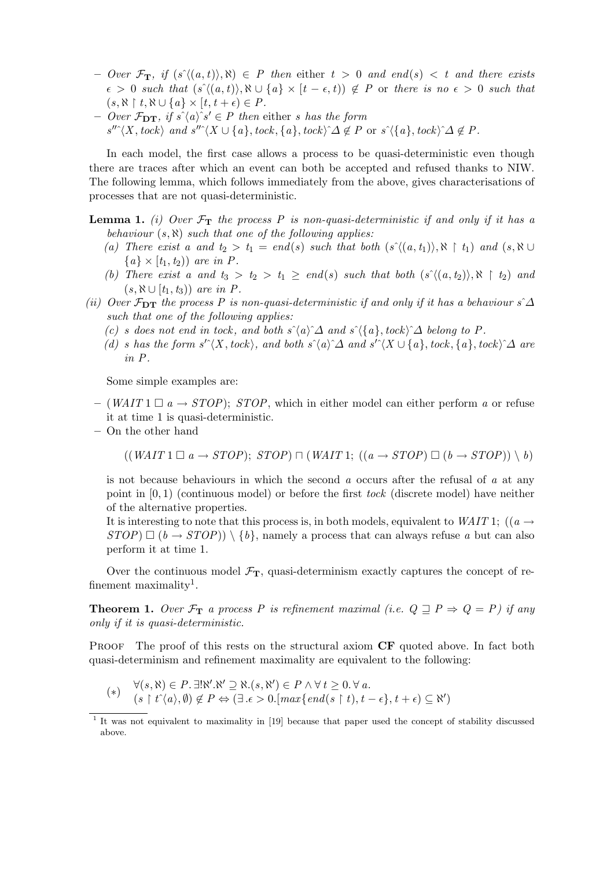- Over  $\mathcal{F}_{\mathbf{T}}$ , if  $(s \hat{h}(a, t), \aleph) \in P$  then either  $t > 0$  and end(s)  $\lt t$  and there exists  $\epsilon > 0$  such that  $(s \setminus (a, t)), \aleph \cup \{a\} \times [t - \epsilon, t]) \notin P$  or there is no  $\epsilon > 0$  such that  $(s, \aleph \upharpoonright t, \aleph \cup \{a\} \times [t, t + \epsilon) \in P$ .
- Over  $\mathcal{F}_{DT}$ , if  $s \hat{\ } \langle a \rangle^s s' \in P$  then either s has the form  $s''^{\wedge}\langle X, \text{tock}\rangle$  and  $s''^{\wedge}\langle X \cup \{a\}, \text{tock}, \{a\}, \text{tock}\rangle^{\wedge} \Delta \notin P$  or  $s^{\wedge}\langle \{a\}, \text{tock}\rangle^{\wedge} \Delta \notin P$ .

In each model, the first case allows a process to be quasi-deterministic even though there are traces after which an event can both be accepted and refused thanks to NIW. The following lemma, which follows immediately from the above, gives characterisations of processes that are not quasi-deterministic.

- **Lemma 1.** (i) Over  $\mathcal{F}_{\mathbf{T}}$  the process P is non-quasi-deterministic if and only if it has a behaviour  $(s, \aleph)$  such that one of the following applies:
	- (a) There exist a and  $t_2 > t_1 = end(s)$  such that both  $(s \langle (a, t_1) \rangle, \aleph \upharpoonright t_1)$  and  $(s, \aleph \cup$  ${a} \times [t_1, t_2)$  are in P.
	- (b) There exist a and  $t_3 > t_2 > t_1 \geq end(s)$  such that both  $(s \setminus (a, t_2) \setminus \mathbb{R} \restriction t_2)$  and  $(s, \aleph \cup [t_1, t_3))$  are in P.
- (ii) Over  $\mathcal{F}_{\text{DT}}$  the process P is non-quasi-deterministic if and only if it has a behaviour  $\hat{s} \Delta$ such that one of the following applies:
	- (c) s does not end in tock, and both  $s^{\wedge}(a)^{\wedge}\Delta$  and  $s^{\wedge}(a),$  tock)^ $\Delta$  belong to P.
	- (d) s has the form s<sup>'</sup><sup></sup> $\langle X, \text{tock} \rangle$ , and both s<sup>^</sup>\a<sup>}</sup> $\Delta$  and s'<sup>'</sup> $\langle X \cup \{a\}, \text{tock}, \{a\}, \text{tock}\rangle$ <sup>'</sup> $\Delta$  are  $in$   $P$ .

Some simple examples are:

- (WAIT  $1 \square a \rightarrow STOP$ ); STOP, which in either model can either perform a or refuse it at time 1 is quasi-deterministic.
- On the other hand

$$
((WAIT 1 \Box a \rightarrow STOP); STOP) \sqcap (WAIT 1; ((a \rightarrow STOP) \Box (b \rightarrow STOP)) \setminus b)
$$

is not because behaviours in which the second  $a$  occurs after the refusal of  $a$  at any point in  $[0, 1)$  (continuous model) or before the first tock (discrete model) have neither of the alternative properties.

It is interesting to note that this process is, in both models, equivalent to WAIT 1; ((a  $\rightarrow$  $STOP) \square (b \rightarrow STOP) \setminus \{b\}$ , namely a process that can always refuse a but can also perform it at time 1.

Over the continuous model  $\mathcal{F}_{T}$ , quasi-determinism exactly captures the concept of refinement maximality<sup>1</sup>.

**Theorem 1.** Over  $\mathcal{F}_{\mathbf{T}}$  a process P is refinement maximal (i.e.  $Q \supseteq P \Rightarrow Q = P$ ) if any only if it is quasi-deterministic.

PROOF The proof of this rests on the structural axiom CF quoted above. In fact both quasi-determinism and refinement maximality are equivalent to the following:

$$
(*) \quad \forall (s, \aleph) \in P. \exists ! \aleph'. \aleph' \supseteq \aleph. (s, \aleph') \in P \land \forall t \geq 0. \forall a.
$$
  

$$
(*) \quad (s \upharpoonright t \hat{\langle} a), \emptyset) \notin P \Leftrightarrow (\exists . \epsilon > 0. [\max \{ \text{end}(s \upharpoonright t), t - \epsilon \}, t + \epsilon) \subseteq \aleph')
$$

<sup>1</sup> It was not equivalent to maximality in [19] because that paper used the concept of stability discussed above.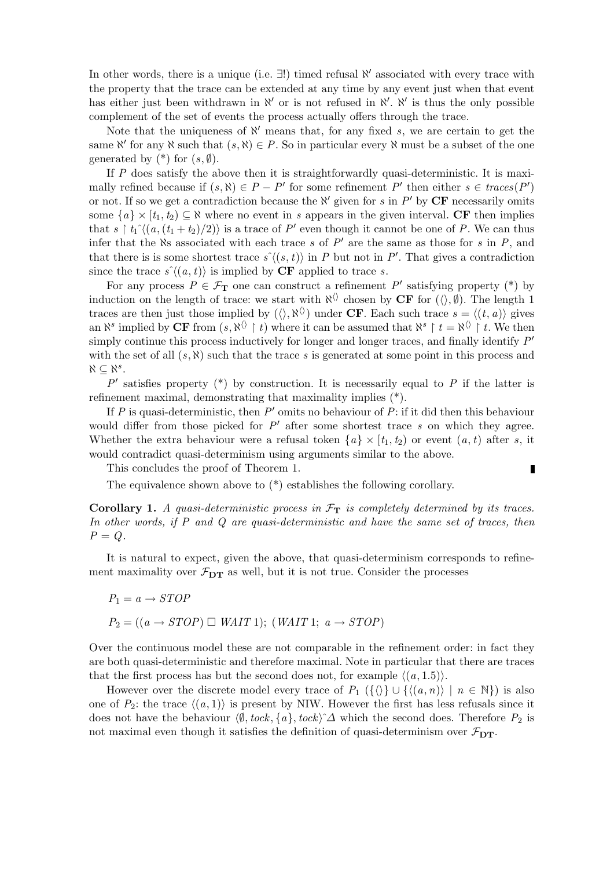In other words, there is a unique (i.e.  $\exists$ !) timed refusal  $\aleph'$  associated with every trace with the property that the trace can be extended at any time by any event just when that event has either just been withdrawn in  $\aleph'$  or is not refused in  $\aleph'$ .  $\aleph'$  is thus the only possible complement of the set of events the process actually offers through the trace.

Note that the uniqueness of  $\aleph'$  means that, for any fixed s, we are certain to get the same  $\aleph'$  for any  $\aleph$  such that  $(s, \aleph) \in P$ . So in particular every  $\aleph$  must be a subset of the one generated by  $(*)$  for  $(s, \emptyset)$ .

If  $P$  does satisfy the above then it is straightforwardly quasi-deterministic. It is maximally refined because if  $(s, \aleph) \in P - P'$  for some refinement P' then either  $s \in traces(P')$ or not. If so we get a contradiction because the  $\aleph'$  given for s in P' by CF necessarily omits some  $\{a\} \times [t_1, t_2] \subseteq \aleph$  where no event in s appears in the given interval. CF then implies that  $s \restriction t_1^{\hat{ }} \langle (a, (t_1 + t_2)/2) \rangle$  is a trace of P' even though it cannot be one of P. We can thus infer that the  $\aleph$ s associated with each trace s of  $P'$  are the same as those for s in P, and that there is is some shortest trace  $s^{\prime}((s, t))$  in P but not in P'. That gives a contradiction since the trace  $s \hat{\;} \langle (a, t) \rangle$  is implied by **CF** applied to trace s.

For any process  $P \in \mathcal{F}_{\mathbf{T}}$  one can construct a refinement  $P'$  satisfying property (\*) by induction on the length of trace: we start with  $\aleph^\langle \rangle$  chosen by CF for  $(\langle \rangle, \emptyset)$ . The length 1 traces are then just those implied by  $(\langle \rangle, \aleph \langle \rangle)$  under CF. Each such trace  $s = \langle (t, a) \rangle$  gives an  $\aleph^s$  implied by CF from  $(s, \aleph^{\langle} \restriction t)$  where it can be assumed that  $\aleph^s \restriction t = \aleph^{\langle} \restriction t$ . We then simply continue this process inductively for longer and longer traces, and finally identify  $P'$ with the set of all  $(s, \aleph)$  such that the trace s is generated at some point in this process and  $\aleph \subseteq \aleph^s$ .

 $P'$  satisfies property (\*) by construction. It is necessarily equal to P if the latter is refinement maximal, demonstrating that maximality implies (\*).

If P is quasi-deterministic, then  $P'$  omits no behaviour of P: if it did then this behaviour would differ from those picked for  $P'$  after some shortest trace s on which they agree. Whether the extra behaviour were a refusal token  $\{a\} \times [t_1, t_2)$  or event  $(a, t)$  after s, it would contradict quasi-determinism using arguments similar to the above.

 $\blacksquare$ 

This concludes the proof of Theorem 1.

The equivalence shown above to (\*) establishes the following corollary.

Corollary 1. A quasi-deterministic process in  $\mathcal{F}_{\mathbf{T}}$  is completely determined by its traces. In other words, if P and Q are quasi-deterministic and have the same set of traces, then  $P = Q$ .

It is natural to expect, given the above, that quasi-determinism corresponds to refinement maximality over  $\mathcal{F}_{DT}$  as well, but it is not true. Consider the processes

$$
P_1 = a \rightarrow STOP
$$
  

$$
P_2 = ((a \rightarrow STOP) \square WAIT 1); (WAIT 1; a \rightarrow STOP)
$$

Over the continuous model these are not comparable in the refinement order: in fact they are both quasi-deterministic and therefore maximal. Note in particular that there are traces that the first process has but the second does not, for example  $\langle (a, 1.5) \rangle$ .

However over the discrete model every trace of  $P_1$   $({\{\langle}\rangle\} \cup {\{\langle (a, n)\rangle | n \in \mathbb{N}\}})$  is also one of  $P_2$ : the trace  $\langle (a, 1) \rangle$  is present by NIW. However the first has less refusals since it does not have the behaviour  $\langle \emptyset, \text{tock}, \{a\}, \text{tock}\rangle^{\wedge}\Delta$  which the second does. Therefore  $P_2$  is not maximal even though it satisfies the definition of quasi-determinism over  $\mathcal{F}_{DT}$ .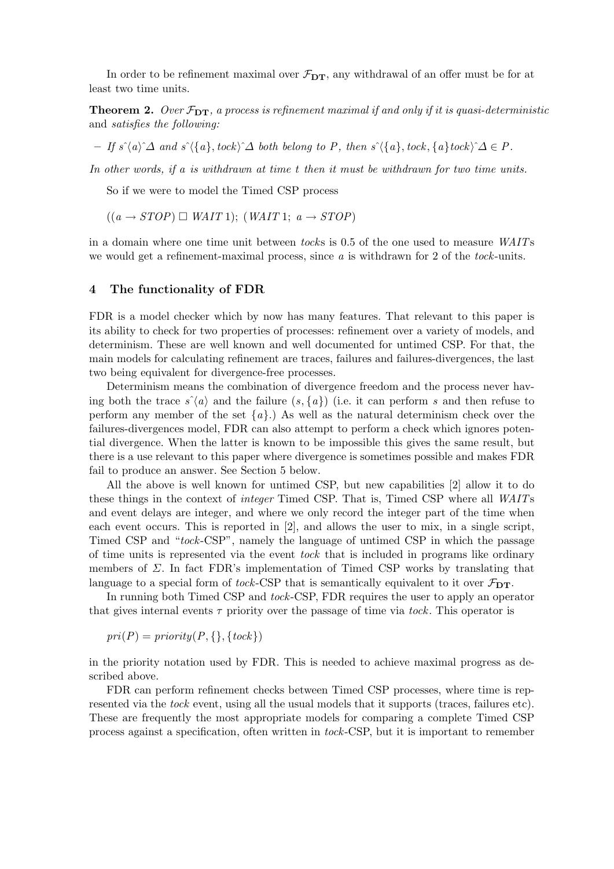In order to be refinement maximal over  $\mathcal{F}_{DT}$ , any withdrawal of an offer must be for at least two time units.

**Theorem 2.** Over  $\mathcal{F}_{DT}$ , a process is refinement maximal if and only if it is quasi-deterministic and satisfies the following:

 $-I$  f s<sup>∼</sup>(a)<sup>∼</sup> $\Delta$  and s<sup>∼</sup>{{a}, tock}<sup>∼</sup> $\Delta$  both belong to P, then s<sup>∼</sup>{{a}, tock, {a}tock}<sup>∼</sup> $\Delta \in P$ .

In other words, if a is withdrawn at time t then it must be withdrawn for two time units.

So if we were to model the Timed CSP process

 $((a \rightarrow STOP) \square$  WAIT 1;  $(WAIT 1; a \rightarrow STOP)$ 

in a domain where one time unit between tocks is 0.5 of the one used to measure WAITs we would get a refinement-maximal process, since  $a$  is withdrawn for 2 of the *tock*-units.

#### 4 The functionality of FDR

FDR is a model checker which by now has many features. That relevant to this paper is its ability to check for two properties of processes: refinement over a variety of models, and determinism. These are well known and well documented for untimed CSP. For that, the main models for calculating refinement are traces, failures and failures-divergences, the last two being equivalent for divergence-free processes.

Determinism means the combination of divergence freedom and the process never having both the trace  $s \hat{ } \langle a \rangle$  and the failure  $(s, \{a\})$  (i.e. it can perform s and then refuse to perform any member of the set  $\{a\}$ .) As well as the natural determinism check over the failures-divergences model, FDR can also attempt to perform a check which ignores potential divergence. When the latter is known to be impossible this gives the same result, but there is a use relevant to this paper where divergence is sometimes possible and makes FDR fail to produce an answer. See Section 5 below.

All the above is well known for untimed CSP, but new capabilities [2] allow it to do these things in the context of integer Timed CSP. That is, Timed CSP where all WAITs and event delays are integer, and where we only record the integer part of the time when each event occurs. This is reported in [2], and allows the user to mix, in a single script, Timed CSP and "tock-CSP", namely the language of untimed CSP in which the passage of time units is represented via the event tock that is included in programs like ordinary members of  $\Sigma$ . In fact FDR's implementation of Timed CSP works by translating that language to a special form of tock-CSP that is semantically equivalent to it over  $\mathcal{F}_{DT}$ .

In running both Timed CSP and tock-CSP, FDR requires the user to apply an operator that gives internal events  $\tau$  priority over the passage of time via tock. This operator is

 $pri(P) = priority(P, \{\}, \{lock\})$ 

in the priority notation used by FDR. This is needed to achieve maximal progress as described above.

FDR can perform refinement checks between Timed CSP processes, where time is represented via the tock event, using all the usual models that it supports (traces, failures etc). These are frequently the most appropriate models for comparing a complete Timed CSP process against a specification, often written in tock-CSP, but it is important to remember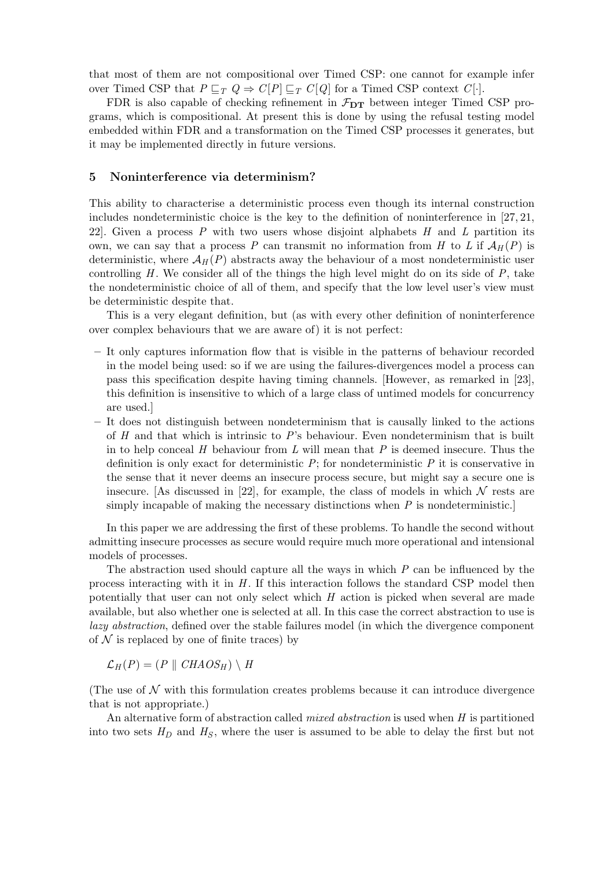that most of them are not compositional over Timed CSP: one cannot for example infer over Timed CSP that  $P \sqsubseteq_T Q \Rightarrow C[P] \sqsubseteq_T C[Q]$  for a Timed CSP context  $C[\cdot]$ .

FDR is also capable of checking refinement in  $\mathcal{F}_{DT}$  between integer Timed CSP programs, which is compositional. At present this is done by using the refusal testing model embedded within FDR and a transformation on the Timed CSP processes it generates, but it may be implemented directly in future versions.

### 5 Noninterference via determinism?

This ability to characterise a deterministic process even though its internal construction includes nondeterministic choice is the key to the definition of noninterference in [27, 21, 22. Given a process P with two users whose disjoint alphabets H and L partition its own, we can say that a process P can transmit no information from H to L if  $\mathcal{A}_H(P)$  is deterministic, where  $\mathcal{A}_H(P)$  abstracts away the behaviour of a most nondeterministic user controlling  $H$ . We consider all of the things the high level might do on its side of  $P$ , take the nondeterministic choice of all of them, and specify that the low level user's view must be deterministic despite that.

This is a very elegant definition, but (as with every other definition of noninterference over complex behaviours that we are aware of) it is not perfect:

- It only captures information flow that is visible in the patterns of behaviour recorded in the model being used: so if we are using the failures-divergences model a process can pass this specification despite having timing channels. [However, as remarked in [23], this definition is insensitive to which of a large class of untimed models for concurrency are used.]
- It does not distinguish between nondeterminism that is causally linked to the actions of  $H$  and that which is intrinsic to  $P$ 's behaviour. Even nondeterminism that is built in to help conceal  $H$  behaviour from  $L$  will mean that  $P$  is deemed insecure. Thus the definition is only exact for deterministic  $P$ ; for nondeterministic  $P$  it is conservative in the sense that it never deems an insecure process secure, but might say a secure one is insecure. [As discussed in [22], for example, the class of models in which  $\mathcal N$  rests are simply incapable of making the necessary distinctions when  $P$  is nondeterministic.

In this paper we are addressing the first of these problems. To handle the second without admitting insecure processes as secure would require much more operational and intensional models of processes.

The abstraction used should capture all the ways in which  $P$  can be influenced by the process interacting with it in  $H$ . If this interaction follows the standard CSP model then potentially that user can not only select which  $H$  action is picked when several are made available, but also whether one is selected at all. In this case the correct abstraction to use is lazy abstraction, defined over the stable failures model (in which the divergence component of  $\mathcal N$  is replaced by one of finite traces) by

 $\mathcal{L}_H(P) = (P \parallel CHAOS_H) \setminus H$ 

(The use of  $\mathcal N$  with this formulation creates problems because it can introduce divergence that is not appropriate.)

An alternative form of abstraction called *mixed abstraction* is used when  $H$  is partitioned into two sets  $H_D$  and  $H_S$ , where the user is assumed to be able to delay the first but not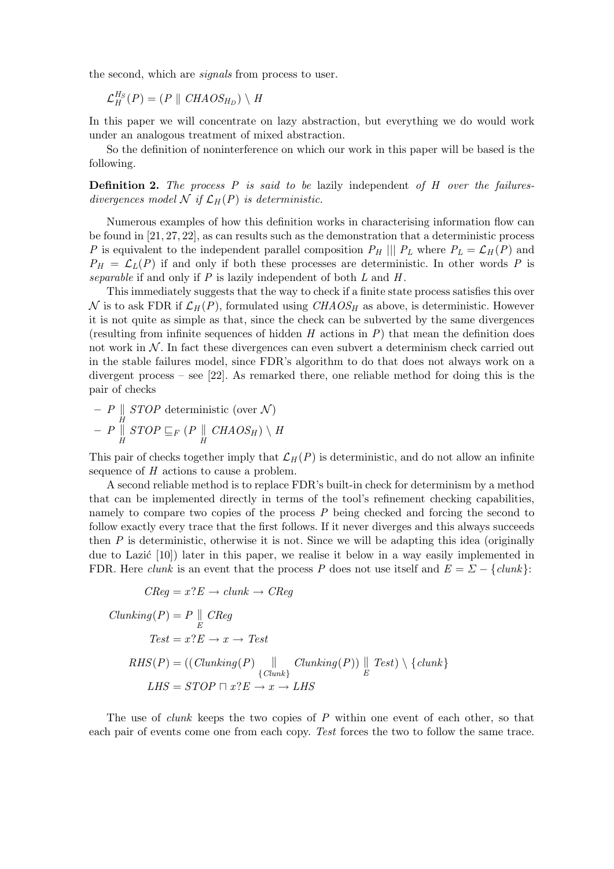the second, which are *signals* from process to user.

$$
\mathcal{L}_H^{H_S}(P) = (P \parallel \text{CHAOS}_{H_D}) \setminus H
$$

In this paper we will concentrate on lazy abstraction, but everything we do would work under an analogous treatment of mixed abstraction.

So the definition of noninterference on which our work in this paper will be based is the following.

**Definition 2.** The process  $P$  is said to be lazily independent of  $H$  over the failuresdivergences model N if  $\mathcal{L}_H(P)$  is deterministic.

Numerous examples of how this definition works in characterising information flow can be found in [21, 27, 22], as can results such as the demonstration that a deterministic process P is equivalent to the independent parallel composition  $P_H$  |||  $P_L$  where  $P_L = \mathcal{L}_H(P)$  and  $P_H = \mathcal{L}_L(P)$  if and only if both these processes are deterministic. In other words P is separable if and only if  $P$  is lazily independent of both  $L$  and  $H$ .

This immediately suggests that the way to check if a finite state process satisfies this over N is to ask FDR if  $\mathcal{L}_H(P)$ , formulated using  $CHAOS_H$  as above, is deterministic. However it is not quite as simple as that, since the check can be subverted by the same divergences (resulting from infinite sequences of hidden  $H$  actions in  $P$ ) that mean the definition does not work in  $N$ . In fact these divergences can even subvert a determinism check carried out in the stable failures model, since FDR's algorithm to do that does not always work on a divergent process – see [22]. As remarked there, one reliable method for doing this is the pair of checks

$$
\begin{array}{c}\n-P \parallel STOP \text{ deterministic (over } \mathcal{N}) \\
-P \parallel STOP \sqsubseteq_F (P \parallel CHAOS_H) \setminus H \\
+ P \parallel STOP \sqsubseteq_F (P \parallel CHAOS_H) \setminus H\n\end{array}
$$

This pair of checks together imply that  $\mathcal{L}_H(P)$  is deterministic, and do not allow an infinite sequence of H actions to cause a problem.

A second reliable method is to replace FDR's built-in check for determinism by a method that can be implemented directly in terms of the tool's refinement checking capabilities, namely to compare two copies of the process  $P$  being checked and forcing the second to follow exactly every trace that the first follows. If it never diverges and this always succeeds then  $P$  is deterministic, otherwise it is not. Since we will be adapting this idea (originally due to Lazi $\epsilon$  [10]) later in this paper, we realise it below in a way easily implemented in FDR. Here *clunk* is an event that the process P does not use itself and  $E = \sum - \{ \text{clunk} \}$ :

$$
CReg = x?E → clunk → CReg
$$
  
\n
$$
Clunking(P) = P \parallel CReg
$$
  
\n
$$
Test = x?E → x → Test
$$
  
\n
$$
RHS(P) = ((Clunking(P) \parallel \parallel Clunking(P)) \parallel Test) \setminus \{clunk\}
$$
  
\n
$$
LHS = STOP \sqcap x?E → x → LHS
$$

The use of *clunk* keeps the two copies of  $P$  within one event of each other, so that each pair of events come one from each copy. Test forces the two to follow the same trace.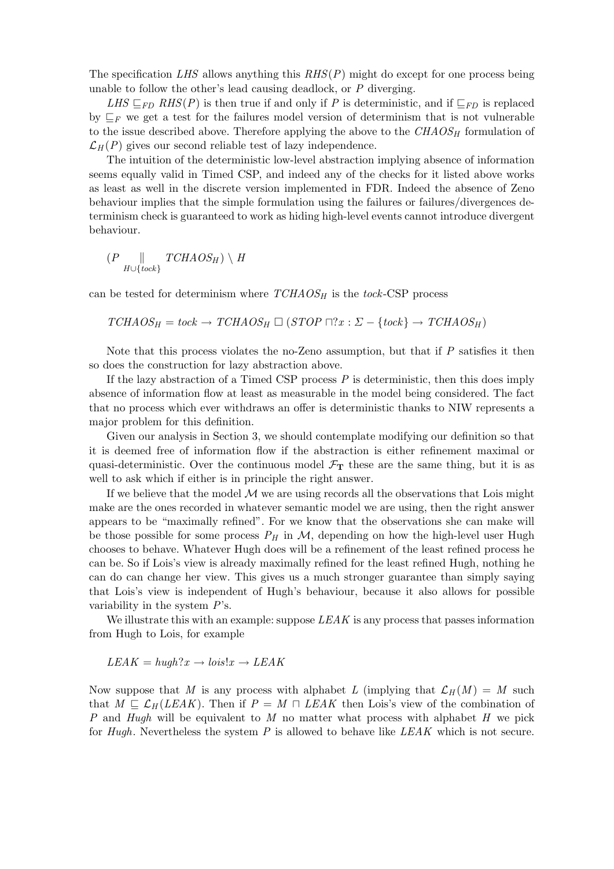The specification LHS allows anything this  $RHS(P)$  might do except for one process being unable to follow the other's lead causing deadlock, or P diverging.

LHS  $\sqsubseteq_{FD} RHS(P)$  is then true if and only if P is deterministic, and if  $\sqsubseteq_{FD}$  is replaced by  $\sqsubseteq_F$  we get a test for the failures model version of determinism that is not vulnerable to the issue described above. Therefore applying the above to the  $CHAOS<sub>H</sub>$  formulation of  $\mathcal{L}_H(P)$  gives our second reliable test of lazy independence.

The intuition of the deterministic low-level abstraction implying absence of information seems equally valid in Timed CSP, and indeed any of the checks for it listed above works as least as well in the discrete version implemented in FDR. Indeed the absence of Zeno behaviour implies that the simple formulation using the failures or failures/divergences determinism check is guaranteed to work as hiding high-level events cannot introduce divergent behaviour.

$$
(P \t || \t TCHAOS_H) \setminus H
$$

can be tested for determinism where  $TCHAOS<sub>H</sub>$  is the tock-CSP process

$$
TCHAOS_H = tock \rightarrow TCHAOS_H \Box (STOP \Box? x : \Sigma - \{ tock \} \rightarrow TCHAOS_H)
$$

Note that this process violates the no-Zeno assumption, but that if  $P$  satisfies it then so does the construction for lazy abstraction above.

If the lazy abstraction of a Timed CSP process  $P$  is deterministic, then this does imply absence of information flow at least as measurable in the model being considered. The fact that no process which ever withdraws an offer is deterministic thanks to NIW represents a major problem for this definition.

Given our analysis in Section 3, we should contemplate modifying our definition so that it is deemed free of information flow if the abstraction is either refinement maximal or quasi-deterministic. Over the continuous model  $\mathcal{F}_{\mathbf{T}}$  these are the same thing, but it is as well to ask which if either is in principle the right answer.

If we believe that the model  $M$  we are using records all the observations that Lois might make are the ones recorded in whatever semantic model we are using, then the right answer appears to be "maximally refined". For we know that the observations she can make will be those possible for some process  $P_H$  in  $\mathcal{M}$ , depending on how the high-level user Hugh chooses to behave. Whatever Hugh does will be a refinement of the least refined process he can be. So if Lois's view is already maximally refined for the least refined Hugh, nothing he can do can change her view. This gives us a much stronger guarantee than simply saying that Lois's view is independent of Hugh's behaviour, because it also allows for possible variability in the system P's.

We illustrate this with an example: suppose  $LEAK$  is any process that passes information from Hugh to Lois, for example

### $LEAK = huah?x \rightarrow lois!x \rightarrow LEAK$

Now suppose that M is any process with alphabet L (implying that  $\mathcal{L}_H(M) = M$  such that  $M \subseteq \mathcal{L}_H (LEAK)$ . Then if  $P = M \cap LEAK$  then Lois's view of the combination of P and Hugh will be equivalent to M no matter what process with alphabet H we pick for Hugh. Nevertheless the system  $P$  is allowed to behave like  $LEAK$  which is not secure.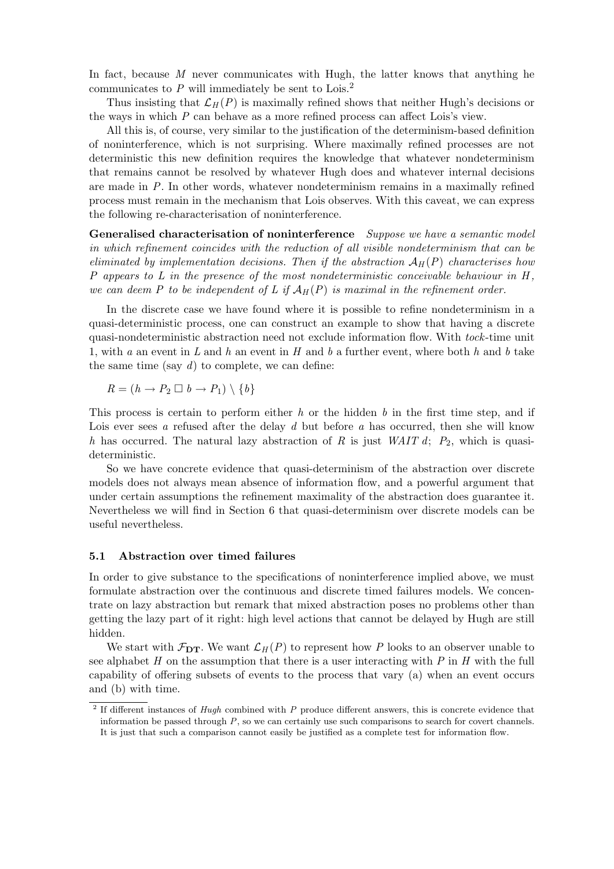In fact, because M never communicates with Hugh, the latter knows that anything he communicates to  $P$  will immediately be sent to Lois.<sup>2</sup>

Thus insisting that  $\mathcal{L}_H(P)$  is maximally refined shows that neither Hugh's decisions or the ways in which P can behave as a more refined process can affect Lois's view.

All this is, of course, very similar to the justification of the determinism-based definition of noninterference, which is not surprising. Where maximally refined processes are not deterministic this new definition requires the knowledge that whatever nondeterminism that remains cannot be resolved by whatever Hugh does and whatever internal decisions are made in P. In other words, whatever nondeterminism remains in a maximally refined process must remain in the mechanism that Lois observes. With this caveat, we can express the following re-characterisation of noninterference.

Generalised characterisation of noninterference Suppose we have a semantic model in which refinement coincides with the reduction of all visible nondeterminism that can be eliminated by implementation decisions. Then if the abstraction  $A_H(P)$  characterises how P appears to  $L$  in the presence of the most nondeterministic conceivable behaviour in  $H$ , we can deem P to be independent of L if  $\mathcal{A}_H(P)$  is maximal in the refinement order.

In the discrete case we have found where it is possible to refine nondeterminism in a quasi-deterministic process, one can construct an example to show that having a discrete quasi-nondeterministic abstraction need not exclude information flow. With tock-time unit 1, with a an event in L and h an event in H and h a further event, where both h and h take the same time (say  $d$ ) to complete, we can define:

 $R = (h \rightarrow P_2 \square b \rightarrow P_1) \setminus \{b\}$ 

This process is certain to perform either h or the hidden b in the first time step, and if Lois ever sees  $a$  refused after the delay  $d$  but before  $a$  has occurred, then she will know h has occurred. The natural lazy abstraction of R is just WAIT d;  $P_2$ , which is quasideterministic.

So we have concrete evidence that quasi-determinism of the abstraction over discrete models does not always mean absence of information flow, and a powerful argument that under certain assumptions the refinement maximality of the abstraction does guarantee it. Nevertheless we will find in Section 6 that quasi-determinism over discrete models can be useful nevertheless.

#### 5.1 Abstraction over timed failures

In order to give substance to the specifications of noninterference implied above, we must formulate abstraction over the continuous and discrete timed failures models. We concentrate on lazy abstraction but remark that mixed abstraction poses no problems other than getting the lazy part of it right: high level actions that cannot be delayed by Hugh are still hidden.

We start with  $\mathcal{F}_{DT}$ . We want  $\mathcal{L}_H(P)$  to represent how P looks to an observer unable to see alphabet  $H$  on the assumption that there is a user interacting with  $P$  in  $H$  with the full capability of offering subsets of events to the process that vary (a) when an event occurs and (b) with time.

<sup>&</sup>lt;sup>2</sup> If different instances of *Hugh* combined with  $P$  produce different answers, this is concrete evidence that information be passed through  $P$ , so we can certainly use such comparisons to search for covert channels. It is just that such a comparison cannot easily be justified as a complete test for information flow.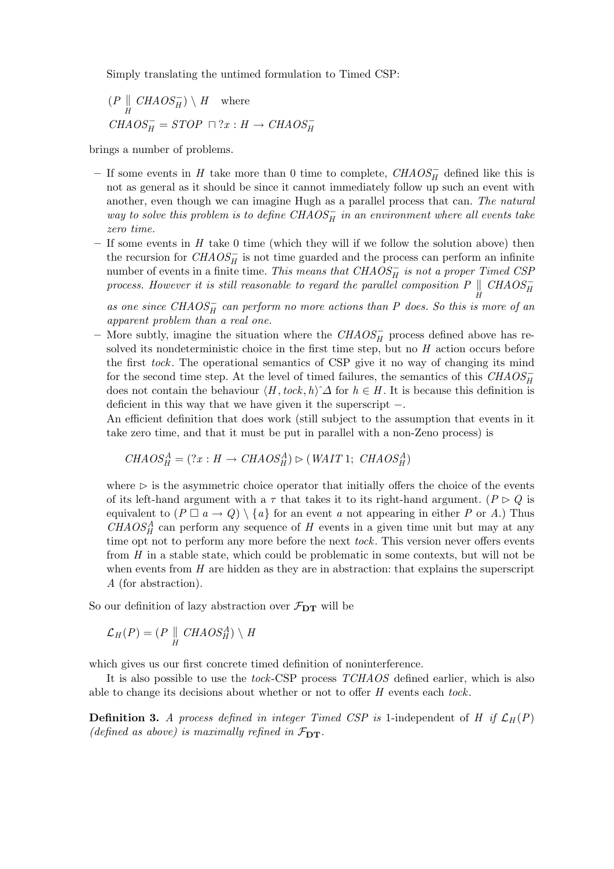Simply translating the untimed formulation to Timed CSP:

 $(P \parallel$ H  $CHAOS_H^-$  \ H where  $CHAOS<sub>H</sub><sup>-</sup> = STOP \square?x : H \rightarrow CHAOS<sub>H</sub><sup>-</sup>$ 

brings a number of problems.

- If some events in H take more than 0 time to complete,  $CHAOS_H^-$  defined like this is not as general as it should be since it cannot immediately follow up such an event with another, even though we can imagine Hugh as a parallel process that can. The natural way to solve this problem is to define  $CHAOS<sub>H</sub><sup>-</sup>$  in an environment where all events take zero time.
- If some events in  $H$  take 0 time (which they will if we follow the solution above) then the recursion for  $CHAOS_H^-$  is not time guarded and the process can perform an infinite number of events in a finite time. This means that  $CHAOS<sub>H</sub><sup>-</sup>$  is not a proper Timed CSP process. However it is still reasonable to regard the parallel composition  $P \parallel$ H  $CHAOS_H^-$

as one since  $CHAOS_H^-$  can perform no more actions than P does. So this is more of an apparent problem than a real one.

– More subtly, imagine the situation where the  $CHAOS<sub>H</sub><sup>-</sup>$  process defined above has resolved its nondeterministic choice in the first time step, but no  $H$  action occurs before the first tock. The operational semantics of CSP give it no way of changing its mind for the second time step. At the level of timed failures, the semantics of this  $\textit{CHAOS}_{H}^$ does not contain the behaviour  $\langle H, \text{tock}, h \rangle^{\wedge} \Delta$  for  $h \in H$ . It is because this definition is deficient in this way that we have given it the superscript −.

An efficient definition that does work (still subject to the assumption that events in it take zero time, and that it must be put in parallel with a non-Zeno process) is

$$
\textit{CHAOS}^A_H = \left( ?x : H \rightarrow \textit{CHAOS}^A_H \right) \rhd \left( \textit{WAIT 1}; \ \textit{CHAOS}^A_H \right)
$$

where  $\triangleright$  is the asymmetric choice operator that initially offers the choice of the events of its left-hand argument with a  $\tau$  that takes it to its right-hand argument. ( $P \triangleright Q$  is equivalent to  $(P \square a \rightarrow Q) \setminus \{a\}$  for an event a not appearing in either P or A.) Thus  $CHAOS<sub>H</sub><sup>A</sup>$  can perform any sequence of H events in a given time unit but may at any time opt not to perform any more before the next *tock*. This version never offers events from  $H$  in a stable state, which could be problematic in some contexts, but will not be when events from  $H$  are hidden as they are in abstraction: that explains the superscript A (for abstraction).

So our definition of lazy abstraction over  $\mathcal{F}_{DT}$  will be

$$
\mathcal{L}_H(P) = (P \parallel \n\parallel \n\text{CHAOS}_H^A) \setminus H
$$

which gives us our first concrete timed definition of noninterference.

It is also possible to use the tock-CSP process TCHAOS defined earlier, which is also able to change its decisions about whether or not to offer  $H$  events each tock.

**Definition 3.** A process defined in integer Timed CSP is 1-independent of H if  $\mathcal{L}_H(P)$ (defined as above) is maximally refined in  $\mathcal{F}_{DT}$ .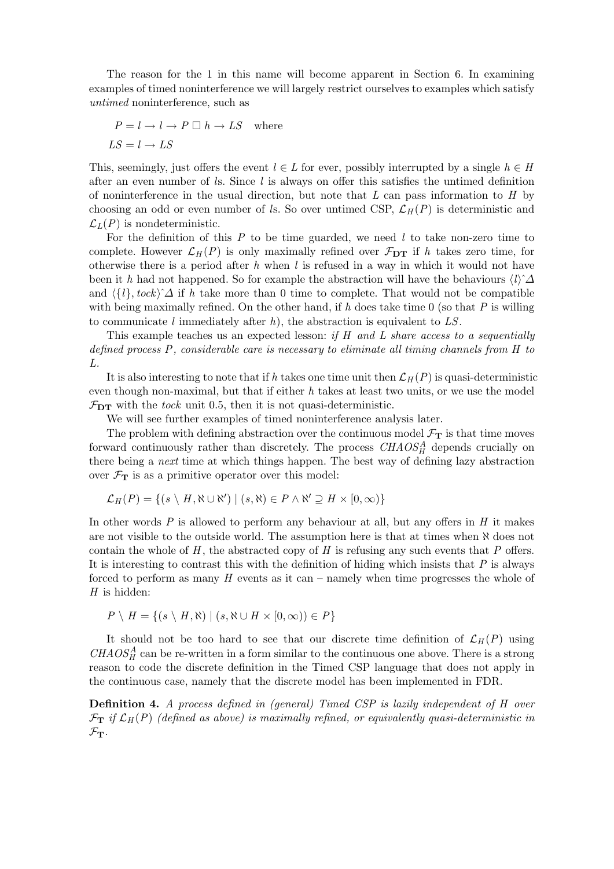The reason for the 1 in this name will become apparent in Section 6. In examining examples of timed noninterference we will largely restrict ourselves to examples which satisfy untimed noninterference, such as

$$
P = l \to l \to P \Box h \to LS \quad \text{where}
$$
  

$$
LS = l \to LS
$$

This, seemingly, just offers the event  $l \in L$  for ever, possibly interrupted by a single  $h \in H$ after an even number of  $l$ s. Since  $l$  is always on offer this satisfies the untimed definition of noninterference in the usual direction, but note that  $L$  can pass information to  $H$  by choosing an odd or even number of ls. So over untimed CSP,  $\mathcal{L}_H(P)$  is deterministic and  $\mathcal{L}_L(P)$  is nondeterministic.

For the definition of this  $P$  to be time guarded, we need  $l$  to take non-zero time to complete. However  $\mathcal{L}_H(P)$  is only maximally refined over  $\mathcal{F}_{DT}$  if h takes zero time, for otherwise there is a period after h when l is refused in a way in which it would not have been it h had not happened. So for example the abstraction will have the behaviours  $\langle l \rangle^{\hat{}} \Delta$ and  $\langle \{l\}, \text{tock}\rangle^{\wedge}\Delta$  if h take more than 0 time to complete. That would not be compatible with being maximally refined. On the other hand, if h does take time  $0$  (so that P is willing to communicate l immediately after h), the abstraction is equivalent to  $LS$ .

This example teaches us an expected lesson: if  $H$  and  $L$  share access to a sequentially defined process P, considerable care is necessary to eliminate all timing channels from H to L.

It is also interesting to note that if h takes one time unit then  $\mathcal{L}_H(P)$  is quasi-deterministic even though non-maximal, but that if either  $h$  takes at least two units, or we use the model  $\mathcal{F}_{DT}$  with the *tock* unit 0.5, then it is not quasi-deterministic.

We will see further examples of timed noninterference analysis later.

The problem with defining abstraction over the continuous model  $\mathcal{F}_{\mathbf{T}}$  is that time moves forward continuously rather than discretely. The process  $CHAOS<sub>H</sub><sup>A</sup>$  depends crucially on there being a next time at which things happen. The best way of defining lazy abstraction over  $\mathcal{F}_{\mathbf{T}}$  is as a primitive operator over this model:

$$
\mathcal{L}_H(P) = \{ (s \setminus H, \aleph \cup \aleph') \mid (s, \aleph) \in P \land \aleph' \supseteq H \times [0, \infty) \}
$$

In other words  $P$  is allowed to perform any behaviour at all, but any offers in  $H$  it makes are not visible to the outside world. The assumption here is that at times when  $\aleph$  does not contain the whole of  $H$ , the abstracted copy of  $H$  is refusing any such events that  $P$  offers. It is interesting to contrast this with the definition of hiding which insists that  $P$  is always forced to perform as many  $H$  events as it can – namely when time progresses the whole of  $H$  is hidden:

$$
P \setminus H = \{(s \setminus H, \aleph) \mid (s, \aleph \cup H \times [0, \infty)) \in P\}
$$

It should not be too hard to see that our discrete time definition of  $\mathcal{L}_H(P)$  using  $CHAOS<sub>H</sub><sup>A</sup>$  can be re-written in a form similar to the continuous one above. There is a strong reason to code the discrete definition in the Timed CSP language that does not apply in the continuous case, namely that the discrete model has been implemented in FDR.

Definition 4. A process defined in (general) Timed CSP is lazily independent of H over  $\mathcal{F}_{\mathbf{T}}$  if  $\mathcal{L}_{H}(P)$  (defined as above) is maximally refined, or equivalently quasi-deterministic in  $\mathcal{F}_{\mathbf{T}}$ .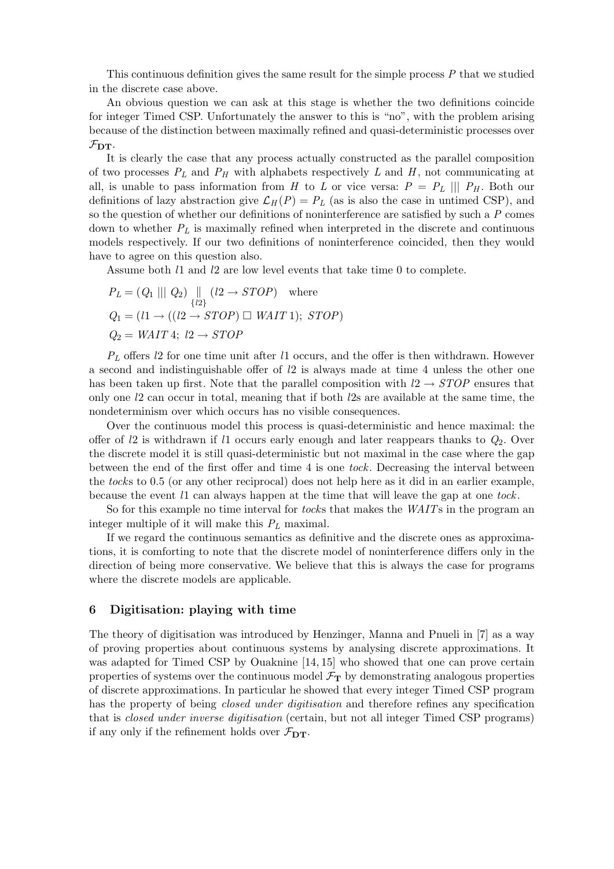This continuous definition gives the same result for the simple process  $P$  that we studied in the discrete case above.

An obvious question we can ask at this stage is whether the two definitions coincide for integer Timed CSP. Unfortunately the answer to this is "no", with the problem arising because of the distinction between maximally refined and quasi-deterministic processes over  $\mathcal{F}_{DT}.$ 

It is clearly the case that any process actually constructed as the parallel composition of two processes  $P_L$  and  $P_H$  with alphabets respectively L and H, not communicating at all, is unable to pass information from H to L or vice versa:  $P = P_L || P_H$ . Both our definitions of lazy abstraction give  $\mathcal{L}_H(P) = P_L$  (as is also the case in untimed CSP), and so the question of whether our definitions of noninterference are satisfied by such a P comes down to whether  $P<sub>L</sub>$  is maximally refined when interpreted in the discrete and continuous models respectively. If our two definitions of noninterference coincided, then they would have to agree on this question also.

Assume both l1 and l2 are low level events that take time 0 to complete.

$$
P_L = (Q_1 || || Q_2) || (l2 \rightarrow STOP) \text{ where}
$$
  
\n
$$
Q_1 = (l1 \rightarrow ((l2 \rightarrow STOP) \square WAIT 1); STOP)
$$
  
\n
$$
Q_2 = WAIT 4; l2 \rightarrow STOP
$$

 $P_L$  offers l2 for one time unit after l1 occurs, and the offer is then withdrawn. However a second and indistinguishable offer of l2 is always made at time 4 unless the other one has been taken up first. Note that the parallel composition with  $l2 \rightarrow STOP$  ensures that only one l2 can occur in total, meaning that if both l2s are available at the same time, the nondeterminism over which occurs has no visible consequences.

Over the continuous model this process is quasi-deterministic and hence maximal: the offer of l2 is withdrawn if l1 occurs early enough and later reappears thanks to  $Q_2$ . Over the discrete model it is still quasi-deterministic but not maximal in the case where the gap between the end of the first offer and time 4 is one tock. Decreasing the interval between the tocks to 0.5 (or any other reciprocal) does not help here as it did in an earlier example, because the event l1 can always happen at the time that will leave the gap at one tock.

So for this example no time interval for tocks that makes the WAITs in the program an integer multiple of it will make this  $P_L$  maximal.

If we regard the continuous semantics as definitive and the discrete ones as approximations, it is comforting to note that the discrete model of noninterference differs only in the direction of being more conservative. We believe that this is always the case for programs where the discrete models are applicable.

#### 6 Digitisation: playing with time

The theory of digitisation was introduced by Henzinger, Manna and Pnueli in [7] as a way of proving properties about continuous systems by analysing discrete approximations. It was adapted for Timed CSP by Ouaknine [14, 15] who showed that one can prove certain properties of systems over the continuous model  $\mathcal{F}_{T}$  by demonstrating analogous properties of discrete approximations. In particular he showed that every integer Timed CSP program has the property of being closed under digitisation and therefore refines any specification that is closed under inverse digitisation (certain, but not all integer Timed CSP programs) if any only if the refinement holds over  $\mathcal{F}_{DT}$ .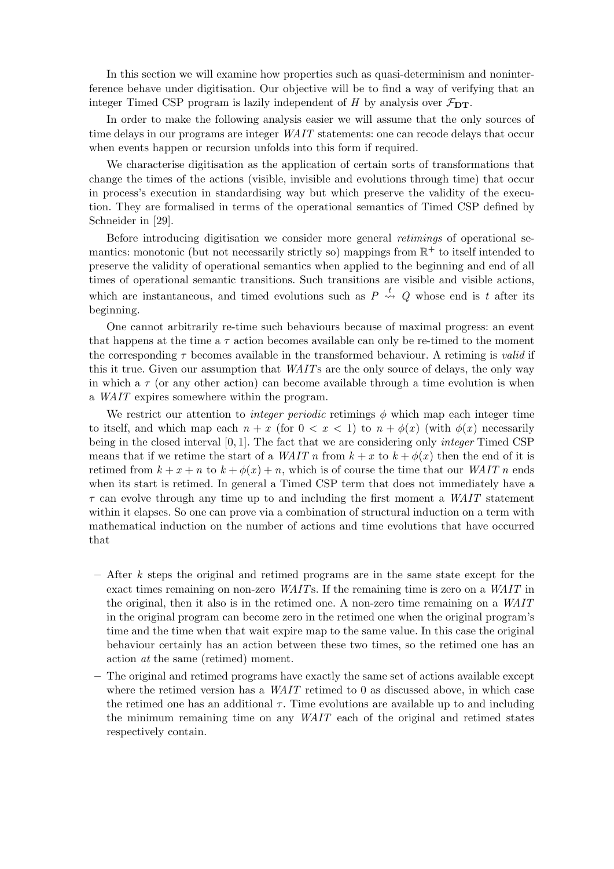In this section we will examine how properties such as quasi-determinism and noninterference behave under digitisation. Our objective will be to find a way of verifying that an integer Timed CSP program is lazily independent of H by analysis over  $\mathcal{F}_{DT}$ .

In order to make the following analysis easier we will assume that the only sources of time delays in our programs are integer WAIT statements: one can recode delays that occur when events happen or recursion unfolds into this form if required.

We characterise digitisation as the application of certain sorts of transformations that change the times of the actions (visible, invisible and evolutions through time) that occur in process's execution in standardising way but which preserve the validity of the execution. They are formalised in terms of the operational semantics of Timed CSP defined by Schneider in [29].

Before introducing digitisation we consider more general retimings of operational semantics: monotonic (but not necessarily strictly so) mappings from  $\mathbb{R}^+$  to itself intended to preserve the validity of operational semantics when applied to the beginning and end of all times of operational semantic transitions. Such transitions are visible and visible actions, which are instantaneous, and timed evolutions such as  $P \stackrel{t}{\leadsto} Q$  whose end is t after its beginning.

One cannot arbitrarily re-time such behaviours because of maximal progress: an event that happens at the time a  $\tau$  action becomes available can only be re-timed to the moment the corresponding  $\tau$  becomes available in the transformed behaviour. A retiming is valid if this it true. Given our assumption that  $W\overline{A}ITs$  are the only source of delays, the only way in which a  $\tau$  (or any other action) can become available through a time evolution is when a WAIT expires somewhere within the program.

We restrict our attention to *integer periodic* retimings  $\phi$  which map each integer time to itself, and which map each  $n + x$  (for  $0 < x < 1$ ) to  $n + \phi(x)$  (with  $\phi(x)$  necessarily being in the closed interval  $[0, 1]$ . The fact that we are considering only *integer* Timed CSP means that if we retime the start of a  $WAIT \, n$  from  $k + x$  to  $k + \phi(x)$  then the end of it is retimed from  $k + x + n$  to  $k + \phi(x) + n$ , which is of course the time that our WAIT n ends when its start is retimed. In general a Timed CSP term that does not immediately have a  $\tau$  can evolve through any time up to and including the first moment a  $WAIT$  statement within it elapses. So one can prove via a combination of structural induction on a term with mathematical induction on the number of actions and time evolutions that have occurred that

- $-$  After k steps the original and retimed programs are in the same state except for the exact times remaining on non-zero *WAITs*. If the remaining time is zero on a *WAIT* in the original, then it also is in the retimed one. A non-zero time remaining on a WAIT in the original program can become zero in the retimed one when the original program's time and the time when that wait expire map to the same value. In this case the original behaviour certainly has an action between these two times, so the retimed one has an action at the same (retimed) moment.
- The original and retimed programs have exactly the same set of actions available except where the retimed version has a  $W\!AT$  retimed to 0 as discussed above, in which case the retimed one has an additional  $\tau$ . Time evolutions are available up to and including the minimum remaining time on any WAIT each of the original and retimed states respectively contain.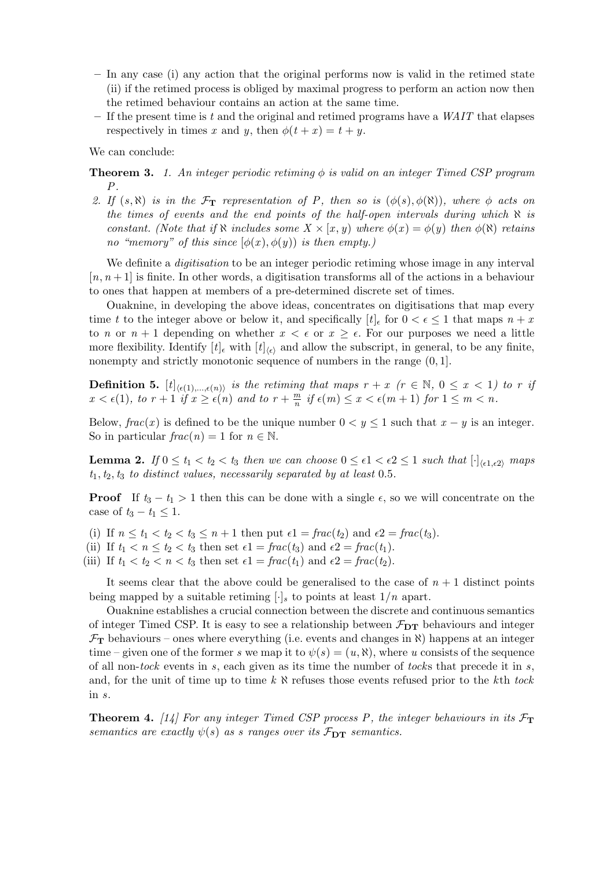- In any case (i) any action that the original performs now is valid in the retimed state (ii) if the retimed process is obliged by maximal progress to perform an action now then the retimed behaviour contains an action at the same time.
- If the present time is t and the original and retimed programs have a  $WAIT$  that elapses respectively in times x and y, then  $\phi(t+x) = t+y$ .

We can conclude:

**Theorem 3.** 1. An integer periodic retiming  $\phi$  is valid on an integer Timed CSP program  $P$ .

2. If  $(s, \aleph)$  is in the  $\mathcal{F}_{\mathbf{T}}$  representation of P, then so is  $(\phi(s), \phi(\aleph))$ , where  $\phi$  acts on the times of events and the end points of the half-open intervals during which  $\aleph$  is constant. (Note that if  $\aleph$  includes some  $X \times [x, y)$  where  $\phi(x) = \phi(y)$  then  $\phi(\aleph)$  retains no "memory" of this since  $[\phi(x), \phi(y)]$  is then empty.)

We definite a *digitisation* to be an integer periodic retiming whose image in any interval  $[n, n+1]$  is finite. In other words, a digitisation transforms all of the actions in a behaviour to ones that happen at members of a pre-determined discrete set of times.

Ouaknine, in developing the above ideas, concentrates on digitisations that map every time t to the integer above or below it, and specifically  $[t]_{\epsilon}$  for  $0 < \epsilon \leq 1$  that maps  $n + x$ to n or  $n + 1$  depending on whether  $x < \epsilon$  or  $x \geq \epsilon$ . For our purposes we need a little more flexibility. Identify  $[t]_{\epsilon}$  with  $[t]_{\langle \epsilon \rangle}$  and allow the subscript, in general, to be any finite, nonempty and strictly monotonic sequence of numbers in the range  $(0, 1]$ .

**Definition 5.**  $[t]_{\langle \epsilon(1),..., \epsilon(n) \rangle}$  is the retiming that maps  $r + x$  ( $r \in \mathbb{N}$ ,  $0 \le x < 1$ ) to r if  $x < \epsilon(1)$ , to  $r + 1$  if  $x \geq \epsilon(n)$  and to  $r + \frac{m}{n}$  $\frac{m}{n}$  if  $\epsilon(m) \leq x < \epsilon(m+1)$  for  $1 \leq m < n$ .

Below,  $frac(x)$  is defined to be the unique number  $0 < y \le 1$  such that  $x - y$  is an integer. So in particular  $frac(n) = 1$  for  $n \in \mathbb{N}$ .

**Lemma 2.** If  $0 \le t_1 < t_2 < t_3$  then we can choose  $0 \le \epsilon \le 1$  such that  $[\cdot]_{(\epsilon_1,\epsilon_2)}$  maps  $t_1, t_2, t_3$  to distinct values, necessarily separated by at least 0.5.

**Proof** If  $t_3 - t_1 > 1$  then this can be done with a single  $\epsilon$ , so we will concentrate on the case of  $t_3 - t_1 \leq 1$ .

(i) If  $n \leq t_1 < t_2 < t_3 \leq n+1$  then put  $\epsilon_1 = \text{frac}(t_2)$  and  $\epsilon_2 = \text{frac}(t_3)$ .

(ii) If  $t_1 < n \leq t_2 < t_3$  then set  $\epsilon_1 = \text{frac}(t_3)$  and  $\epsilon_2 = \text{frac}(t_1)$ .

(iii) If  $t_1 < t_2 < n < t_3$  then set  $\epsilon_1 = \text{frac}(t_1)$  and  $\epsilon_2 = \text{frac}(t_2)$ .

It seems clear that the above could be generalised to the case of  $n + 1$  distinct points being mapped by a suitable retiming  $[\cdot]_s$  to points at least  $1/n$  apart.

Ouaknine establishes a crucial connection between the discrete and continuous semantics of integer Timed CSP. It is easy to see a relationship between  $\mathcal{F}_{DT}$  behaviours and integer  $\mathcal{F}_{\mathbf{T}}$  behaviours – ones where everything (i.e. events and changes in  $\aleph$ ) happens at an integer time – given one of the former s we map it to  $\psi(s) = (u, \aleph)$ , where u consists of the sequence of all non-tock events in  $s$ , each given as its time the number of tocks that precede it in  $s$ , and, for the unit of time up to time  $k \aleph$  refuses those events refused prior to the kth tock in s.

**Theorem 4.** [14] For any integer Timed CSP process P, the integer behaviours in its  $\mathcal{F}_{T}$ semantics are exactly  $\psi(s)$  as s ranges over its  $\mathcal{F}_{DT}$  semantics.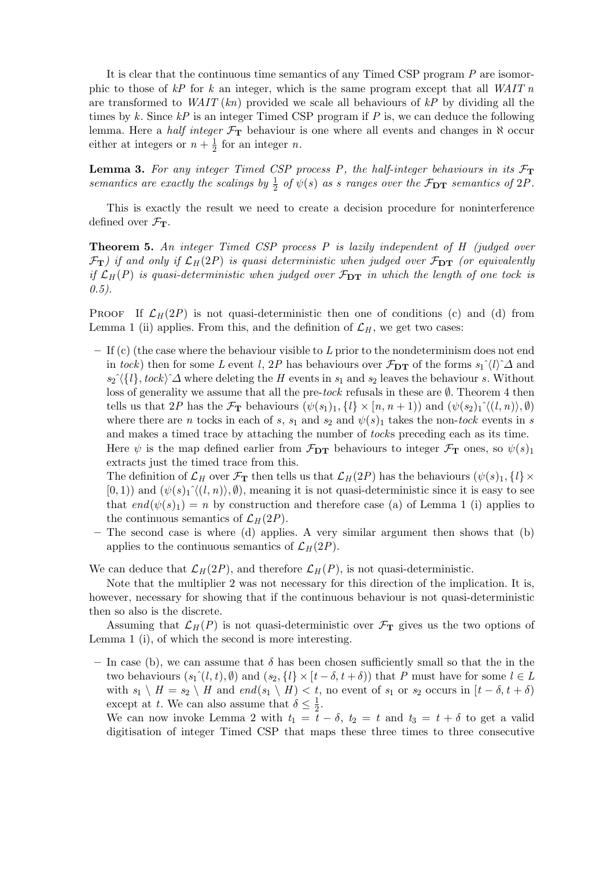It is clear that the continuous time semantics of any Timed CSP program P are isomorphic to those of  $kP$  for k an integer, which is the same program except that all WAIT n are transformed to  $WATT(kn)$  provided we scale all behaviours of kP by dividing all the times by k. Since  $kP$  is an integer Timed CSP program if P is, we can deduce the following lemma. Here a *half integer*  $\mathcal{F}_{\mathbf{T}}$  behaviour is one where all events and changes in  $\aleph$  occur either at integers or  $n + \frac{1}{2}$  $\frac{1}{2}$  for an integer *n*.

**Lemma 3.** For any integer Timed CSP process P, the half-integer behaviours in its  $\mathcal{F}_{T}$ semantics are exactly the scalings by  $\frac{1}{2}$  of  $\psi(s)$  as s ranges over the  $\mathcal{F}_{DT}$  semantics of  $2P$ .

This is exactly the result we need to create a decision procedure for noninterference defined over  $\mathcal{F}_{\mathbf{T}}$ .

Theorem 5. An integer Timed CSP process P is lazily independent of H (judged over  $\mathcal{F}_{\mathbf{T}}$ ) if and only if  $\mathcal{L}_H(2P)$  is quasi deterministic when judged over  $\mathcal{F}_{\mathbf{DT}}$  (or equivalently if  $\mathcal{L}_H(P)$  is quasi-deterministic when judged over  $\mathcal{F}_{DT}$  in which the length of one tock is  $(0.5)$ .

PROOF If  $\mathcal{L}_H(2P)$  is not quasi-deterministic then one of conditions (c) and (d) from Lemma 1 (ii) applies. From this, and the definition of  $\mathcal{L}_H$ , we get two cases:

 $-$  If (c) (the case where the behaviour visible to L prior to the nondeterminism does not end in tock) then for some L event l, 2P has behaviours over  $\mathcal{F}_{DT}$  of the forms  $s_1\hat{i}/\hat{j}^\Delta$  and  $s_2^{\hat{}}(\{l\}, \text{tock})^{\hat{}}\Delta$  where deleting the H events in  $s_1$  and  $s_2$  leaves the behaviour s. Without loss of generality we assume that all the pre-tock refusals in these are  $\emptyset$ . Theorem 4 then tells us that 2P has the  $\mathcal{F}_{\mathbf{T}}$  behaviours  $(\psi(s_1)_1, \{l\} \times [n, n+1))$  and  $(\psi(s_2)_1 \hat{\;} ((l, n), \emptyset)$ where there are n tocks in each of s, s<sub>1</sub> and s<sub>2</sub> and  $\psi(s)_1$  takes the non-tock events in s and makes a timed trace by attaching the number of tocks preceding each as its time. Here  $\psi$  is the map defined earlier from  $\mathcal{F}_{DT}$  behaviours to integer  $\mathcal{F}_{T}$  ones, so  $\psi(s)_{1}$ extracts just the timed trace from this.

The definition of  $\mathcal{L}_H$  over  $\mathcal{F}_{\mathbf{T}}$  then tells us that  $\mathcal{L}_H(2P)$  has the behaviours  $(\psi(s)_1, \{l\})\times$  $(0, 1)$ ) and  $(\psi(s)_1 \hat{ } \langle (l, n) \rangle, \emptyset)$ , meaning it is not quasi-deterministic since it is easy to see that  $end(\psi(s)_1) = n$  by construction and therefore case (a) of Lemma 1 (i) applies to the continuous semantics of  $\mathcal{L}_H(2P)$ .

– The second case is where (d) applies. A very similar argument then shows that (b) applies to the continuous semantics of  $\mathcal{L}_H(2P)$ .

We can deduce that  $\mathcal{L}_H(2P)$ , and therefore  $\mathcal{L}_H(P)$ , is not quasi-deterministic.

Note that the multiplier 2 was not necessary for this direction of the implication. It is, however, necessary for showing that if the continuous behaviour is not quasi-deterministic then so also is the discrete.

Assuming that  $\mathcal{L}_H(P)$  is not quasi-deterministic over  $\mathcal{F}_{\mathbf{T}}$  gives us the two options of Lemma 1 (i), of which the second is more interesting.

– In case (b), we can assume that  $\delta$  has been chosen sufficiently small so that the in the two behaviours  $(s_1 \hat{i}(l, t), \emptyset)$  and  $(s_2, \{l\} \times [t - \delta, t + \delta))$  that P must have for some  $l \in L$ with  $s_1 \setminus H = s_2 \setminus H$  and  $end(s_1 \setminus H) < t$ , no event of  $s_1$  or  $s_2$  occurs in  $[t - \delta, t + \delta)$ except at t. We can also assume that  $\delta \leq \frac{1}{2}$  $\frac{1}{2}$ .

We can now invoke Lemma 2 with  $t_1 = t - \delta$ ,  $t_2 = t$  and  $t_3 = t + \delta$  to get a valid digitisation of integer Timed CSP that maps these three times to three consecutive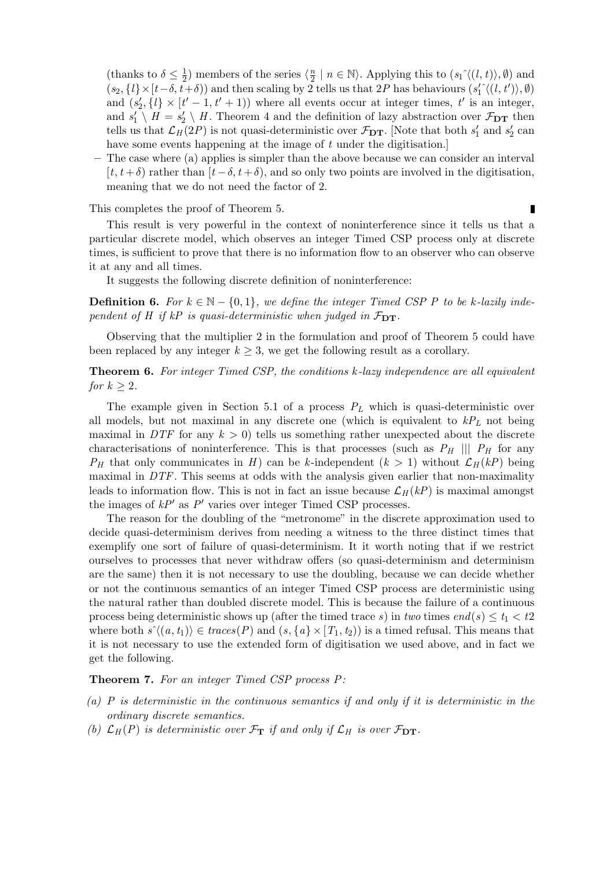(thanks to  $\delta \leq \frac{1}{2}$ )  $(\frac{1}{2})$  members of the series  $\langle \frac{n}{2} \rangle$  $\frac{n}{2} \mid n \in \mathbb{N}$ . Applying this to  $(s_1 \hat{\;} \langle (l, t) \rangle, \emptyset)$  and  $(s_2, \{l\} \times [t-\delta, t+\delta))$  and then scaling by 2 tells us that 2P has behaviours  $(s'_1 \hat{\ } \langle (l, t') \rangle, \emptyset)$ and  $(s_2', \{l\} \times [t'-1, t'+1))$  where all events occur at integer times,  $t'$  is an integer, and  $s'_1 \setminus H = s'_2 \setminus H$ . Theorem 4 and the definition of lazy abstraction over  $\mathcal{F}_{DT}$  then tells us that  $\mathcal{L}_H(2P)$  is not quasi-deterministic over  $\mathcal{F}_{DT}$ . [Note that both  $s'_1$  and  $s'_2$  can have some events happening at the image of t under the digitisation.

– The case where (a) applies is simpler than the above because we can consider an interval  $[t, t + \delta]$  rather than  $[t - \delta, t + \delta]$ , and so only two points are involved in the digitisation, meaning that we do not need the factor of 2.

 $\blacksquare$ 

This completes the proof of Theorem 5.

This result is very powerful in the context of noninterference since it tells us that a particular discrete model, which observes an integer Timed CSP process only at discrete times, is sufficient to prove that there is no information flow to an observer who can observe it at any and all times.

It suggests the following discrete definition of noninterference:

**Definition 6.** For  $k \in \mathbb{N} - \{0, 1\}$ , we define the integer Timed CSP P to be k-lazily independent of H if kP is quasi-deterministic when judged in  $\mathcal{F}_{DT}$ .

Observing that the multiplier 2 in the formulation and proof of Theorem 5 could have been replaced by any integer  $k \geq 3$ , we get the following result as a corollary.

**Theorem 6.** For integer Timed CSP, the conditions  $k$ -lazy independence are all equivalent for  $k \geq 2$ .

The example given in Section 5.1 of a process  $P<sub>L</sub>$  which is quasi-deterministic over all models, but not maximal in any discrete one (which is equivalent to  $kP<sub>L</sub>$  not being maximal in DTF for any  $k > 0$ ) tells us something rather unexpected about the discrete characterisations of noninterference. This is that processes (such as  $P_H$  |||  $P_H$  for any  $P_H$  that only communicates in H ) can be k-independent  $(k > 1)$  without  $\mathcal{L}_H(k)$  being maximal in DTF. This seems at odds with the analysis given earlier that non-maximality leads to information flow. This is not in fact an issue because  $\mathcal{L}_H(kP)$  is maximal amongst the images of  $kP'$  as  $P'$  varies over integer Timed CSP processes.

The reason for the doubling of the "metronome" in the discrete approximation used to decide quasi-determinism derives from needing a witness to the three distinct times that exemplify one sort of failure of quasi-determinism. It it worth noting that if we restrict ourselves to processes that never withdraw offers (so quasi-determinism and determinism are the same) then it is not necessary to use the doubling, because we can decide whether or not the continuous semantics of an integer Timed CSP process are deterministic using the natural rather than doubled discrete model. This is because the failure of a continuous process being deterministic shows up (after the timed trace s) in two times end(s)  $\lt t_1 \lt t_2$ where both  $s \hat{\;} \langle (a, t_1) \rangle \in \mathit{traces}(P)$  and  $(s, \{a\} \times [T_1, t_2))$  is a timed refusal. This means that it is not necessary to use the extended form of digitisation we used above, and in fact we get the following.

Theorem 7. For an integer Timed CSP process P :

- (a)  $P$  is deterministic in the continuous semantics if and only if it is deterministic in the ordinary discrete semantics.
- (b)  $\mathcal{L}_H(P)$  is deterministic over  $\mathcal{F}_{\mathbf{T}}$  if and only if  $\mathcal{L}_H$  is over  $\mathcal{F}_{\mathbf{DT}}$ .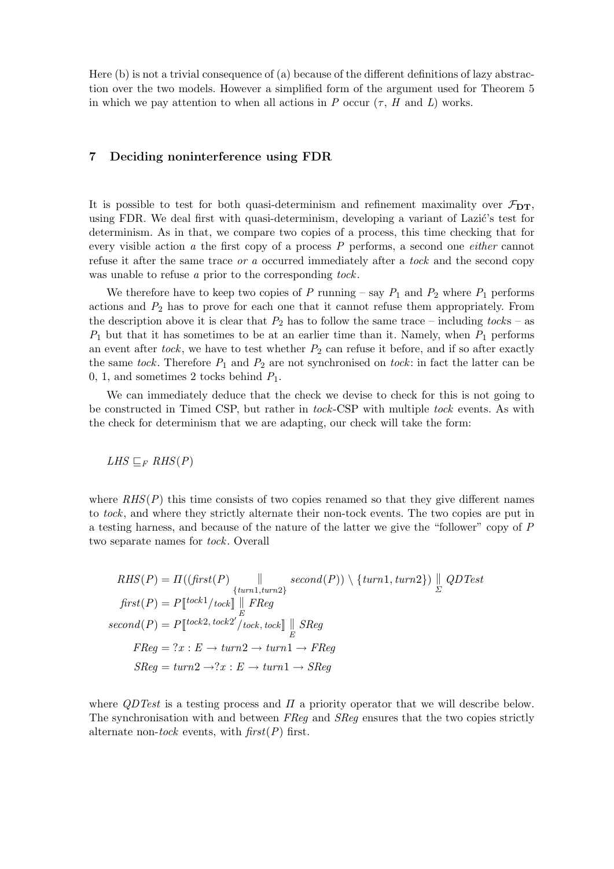Here (b) is not a trivial consequence of (a) because of the different definitions of lazy abstraction over the two models. However a simplified form of the argument used for Theorem 5 in which we pay attention to when all actions in P occur  $(\tau, H \text{ and } L)$  works.

### 7 Deciding noninterference using FDR

It is possible to test for both quasi-determinism and refinement maximality over  $\mathcal{F}_{DT}$ , using FDR. We deal first with quasi-determinism, developing a variant of Lazić's test for determinism. As in that, we compare two copies of a process, this time checking that for every visible action a the first copy of a process P performs, a second one either cannot refuse it after the same trace or a occurred immediately after a tock and the second copy was unable to refuse a prior to the corresponding tock.

We therefore have to keep two copies of P running – say  $P_1$  and  $P_2$  where  $P_1$  performs actions and  $P_2$  has to prove for each one that it cannot refuse them appropriately. From the description above it is clear that  $P_2$  has to follow the same trace – including tocks – as  $P_1$  but that it has sometimes to be at an earlier time than it. Namely, when  $P_1$  performs an event after tock, we have to test whether  $P_2$  can refuse it before, and if so after exactly the same tock. Therefore  $P_1$  and  $P_2$  are not synchronised on tock: in fact the latter can be 0, 1, and sometimes 2 tocks behind  $P_1$ .

We can immediately deduce that the check we devise to check for this is not going to be constructed in Timed CSP, but rather in tock-CSP with multiple tock events. As with the check for determinism that we are adapting, our check will take the form:

$$
LHS \sqsubseteq_F RHS(P)
$$

where  $RHS(P)$  this time consists of two copies renamed so that they give different names to tock, and where they strictly alternate their non-tock events. The two copies are put in a testing harness, and because of the nature of the latter we give the "follower" copy of P two separate names for tock. Overall

$$
RHS(P) = \Pi((first(P) \parallel second(P)) \setminus \{turn1, turn2\}) \parallel QDTest
$$
  
\n
$$
first(P) = P[{}^{lock1}/tock] \parallel FReg
$$
  
\n
$$
second(P) = P[{}^{tock2}, {tock2'} / {tock}, {tock}] \parallel SReg
$$
  
\n
$$
FReg = ?x : E \rightarrow turn2 \rightarrow turn1 \rightarrow FReg
$$
  
\n
$$
SReg = turn2 \rightarrow ?x : E \rightarrow turn1 \rightarrow SReg
$$

where  $QDTest$  is a testing process and  $\Pi$  a priority operator that we will describe below. The synchronisation with and between FReg and SReg ensures that the two copies strictly alternate non-tock events, with  $first(P)$  first.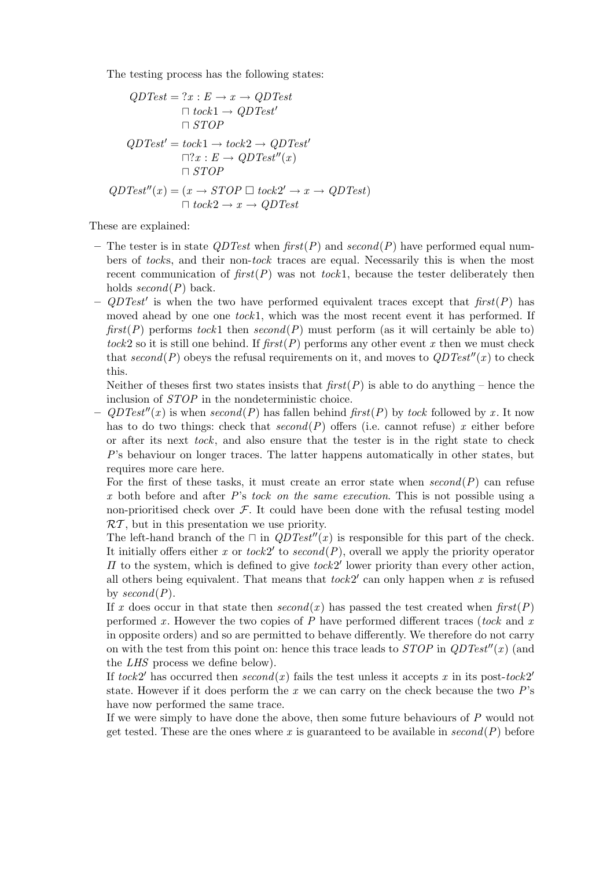The testing process has the following states:

$$
QDTest = ?x : E \rightarrow x \rightarrow QDTest
$$
  
\n
$$
\Box \text{ tock1} \rightarrow QDTest'
$$
  
\n
$$
\Box \text{ STOP}
$$
  
\n
$$
QDTest' = \text{tock1} \rightarrow \text{tock2} \rightarrow QDTest'
$$
  
\n
$$
\Box ?x : E \rightarrow QDTest''(x)
$$
  
\n
$$
\Box \text{ STOP}
$$
  
\n
$$
QDTest''(x) = (x \rightarrow STOP \Box \text{ tock2'} \rightarrow x \rightarrow QDTest)
$$
  
\n
$$
\Box \text{ tock2} \rightarrow x \rightarrow QDTest
$$

These are explained:

- The tester is in state *QDTest* when first(P) and second(P) have performed equal numbers of tocks, and their non-tock traces are equal. Necessarily this is when the most recent communication of  $first(P)$  was not tock1, because the tester deliberately then holds  $second(P)$  back.
- $QDTest'$  is when the two have performed equivalent traces except that  $first(P)$  has moved ahead by one one tock1, which was the most recent event it has performed. If first(P) performs tock1 then  $second(P)$  must perform (as it will certainly be able to) tock2 so it is still one behind. If  $first(P)$  performs any other event x then we must check that second(P) obeys the refusal requirements on it, and moves to  $QDTest''(x)$  to check this.

Neither of theses first two states insists that  $first(P)$  is able to do anything – hence the inclusion of STOP in the nondeterministic choice.

–  $QDTest''(x)$  is when second(P) has fallen behind first(P) by tock followed by x. It now has to do two things: check that  $second(P)$  offers (i.e. cannot refuse) x either before or after its next tock, and also ensure that the tester is in the right state to check P's behaviour on longer traces. The latter happens automatically in other states, but requires more care here.

For the first of these tasks, it must create an error state when  $second(P)$  can refuse x both before and after P's tock on the same execution. This is not possible using a non-prioritised check over  $\mathcal F$ . It could have been done with the refusal testing model  $RT$ , but in this presentation we use priority.

The left-hand branch of the  $\Box$  in  $QDTest''(x)$  is responsible for this part of the check. It initially offers either x or  $tock2'$  to  $second(P)$ , overall we apply the priority operator  $\Pi$  to the system, which is defined to give tock2' lower priority than every other action, all others being equivalent. That means that  $tock2'$  can only happen when x is refused by  $second(P)$ .

If x does occur in that state then  $second(x)$  has passed the test created when  $first(P)$ performed x. However the two copies of  $P$  have performed different traces (tock and  $x$ ) in opposite orders) and so are permitted to behave differently. We therefore do not carry on with the test from this point on: hence this trace leads to  $STOP$  in  $QDTest''(x)$  (and the LHS process we define below).

If tock2' has occurred then  $second(x)$  fails the test unless it accepts x in its post-tock2' state. However if it does perform the  $x$  we can carry on the check because the two  $P$ 's have now performed the same trace.

If we were simply to have done the above, then some future behaviours of P would not get tested. These are the ones where x is guaranteed to be available in  $second(P)$  before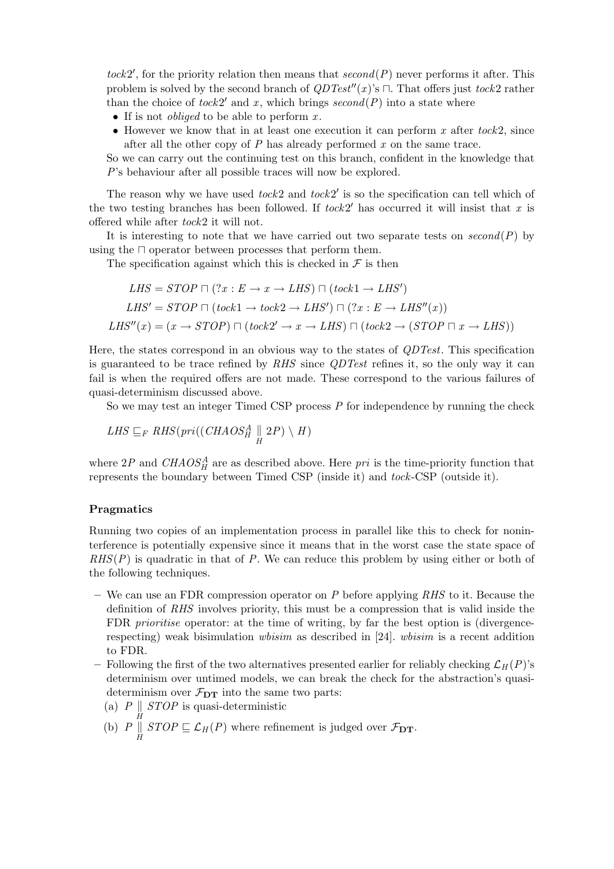tock2', for the priority relation then means that  $second(P)$  never performs it after. This problem is solved by the second branch of  $QDTest''(x)$ 's  $\Box$ . That offers just tock2 rather than the choice of tock2' and x, which brings  $second(P)$  into a state where

- If is not *obliged* to be able to perform  $x$ .
- However we know that in at least one execution it can perform  $x$  after tock2, since after all the other copy of  $P$  has already performed  $x$  on the same trace.

So we can carry out the continuing test on this branch, confident in the knowledge that P's behaviour after all possible traces will now be explored.

The reason why we have used  $tock2$  and  $tock2'$  is so the specification can tell which of the two testing branches has been followed. If  $tock2'$  has occurred it will insist that x is offered while after tock2 it will not.

It is interesting to note that we have carried out two separate tests on  $second(P)$  by using the  $\Box$  operator between processes that perform them.

The specification against which this is checked in  $\mathcal F$  is then

$$
LHS = STOP \sqcap (?x : E \to x \to LHS) \sqcap (tock1 \to LHS')
$$
  
\n
$$
LHS' = STOP \sqcap (tock1 \to took2 \to LHS') \sqcap (?x : E \to LHS''(x))
$$
  
\n
$$
LHS''(x) = (x \to STOP) \sqcap (tock2' \to x \to LHS) \sqcap (tock2 \to (STOP \sqcap x \to LHS))
$$

Here, the states correspond in an obvious way to the states of QDTest. This specification is guaranteed to be trace refined by RHS since QDTest refines it, so the only way it can fail is when the required offers are not made. These correspond to the various failures of quasi-determinism discussed above.

So we may test an integer Timed CSP process P for independence by running the check

LHS 
$$
\sqsubseteq_F
$$
 RHS $(pri((CHAOS_H^A \parallel 2P) \setminus H)$ 

where  $2P$  and  $CHAOS<sub>H</sub><sup>A</sup>$  are as described above. Here pri is the time-priority function that represents the boundary between Timed CSP (inside it) and tock-CSP (outside it).

### Pragmatics

Running two copies of an implementation process in parallel like this to check for noninterference is potentially expensive since it means that in the worst case the state space of  $RHS(P)$  is quadratic in that of P. We can reduce this problem by using either or both of the following techniques.

- We can use an FDR compression operator on  $P$  before applying  $RHS$  to it. Because the definition of RHS involves priority, this must be a compression that is valid inside the FDR *prioritise* operator: at the time of writing, by far the best option is (divergencerespecting) weak bisimulation wbisim as described in [24]. wbisim is a recent addition to FDR.
- Following the first of the two alternatives presented earlier for reliably checking  $\mathcal{L}_H(P)$ 's determinism over untimed models, we can break the check for the abstraction's quasideterminism over  $\mathcal{F}_{DT}$  into the same two parts:
	- (a)  $P \parallel STOP$  is quasi-deterministic
	- (b)  $P \parallel$  $\parallel$   $STOP \sqsubseteq \mathcal{L}_H(P)$  where refinement is judged over  $\mathcal{F}_{DT}$ .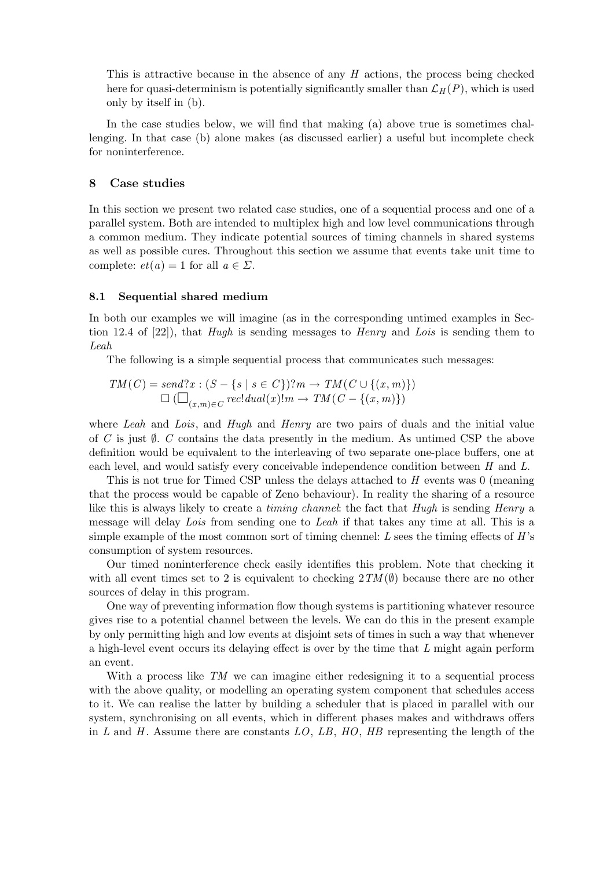This is attractive because in the absence of any H actions, the process being checked here for quasi-determinism is potentially significantly smaller than  $\mathcal{L}_H(P)$ , which is used only by itself in (b).

In the case studies below, we will find that making (a) above true is sometimes challenging. In that case (b) alone makes (as discussed earlier) a useful but incomplete check for noninterference.

#### 8 Case studies

In this section we present two related case studies, one of a sequential process and one of a parallel system. Both are intended to multiplex high and low level communications through a common medium. They indicate potential sources of timing channels in shared systems as well as possible cures. Throughout this section we assume that events take unit time to complete:  $et(a) = 1$  for all  $a \in \Sigma$ .

#### 8.1 Sequential shared medium

In both our examples we will imagine (as in the corresponding untimed examples in Section 12.4 of [22]), that *Hugh* is sending messages to *Henry* and *Lois* is sending them to Leah

The following is a simple sequential process that communicates such messages:

$$
TM(C) = send?x : (S - \{s \mid s \in C\})?m \to TM(C \cup \{(x, m)\})
$$
  

$$
\Box (\Box_{(x, m) \in C} rec!dual(x)!m \to TM(C - \{(x, m)\})
$$

where Leah and Lois, and Hugh and Henry are two pairs of duals and the initial value of C is just  $\emptyset$ . C contains the data presently in the medium. As untimed CSP the above definition would be equivalent to the interleaving of two separate one-place buffers, one at each level, and would satisfy every conceivable independence condition between H and L.

This is not true for Timed CSP unless the delays attached to H events was 0 (meaning that the process would be capable of Zeno behaviour). In reality the sharing of a resource like this is always likely to create a timing channel: the fact that Hugh is sending Henry a message will delay Lois from sending one to Leah if that takes any time at all. This is a simple example of the most common sort of timing chennel:  $L$  sees the timing effects of  $H$ 's consumption of system resources.

Our timed noninterference check easily identifies this problem. Note that checking it with all event times set to 2 is equivalent to checking  $2TM(\theta)$  because there are no other sources of delay in this program.

One way of preventing information flow though systems is partitioning whatever resource gives rise to a potential channel between the levels. We can do this in the present example by only permitting high and low events at disjoint sets of times in such a way that whenever a high-level event occurs its delaying effect is over by the time that L might again perform an event.

With a process like  $TM$  we can imagine either redesigning it to a sequential process with the above quality, or modelling an operating system component that schedules access to it. We can realise the latter by building a scheduler that is placed in parallel with our system, synchronising on all events, which in different phases makes and withdraws offers in L and H. Assume there are constants  $LO$ ,  $LB$ ,  $HO$ ,  $HB$  representing the length of the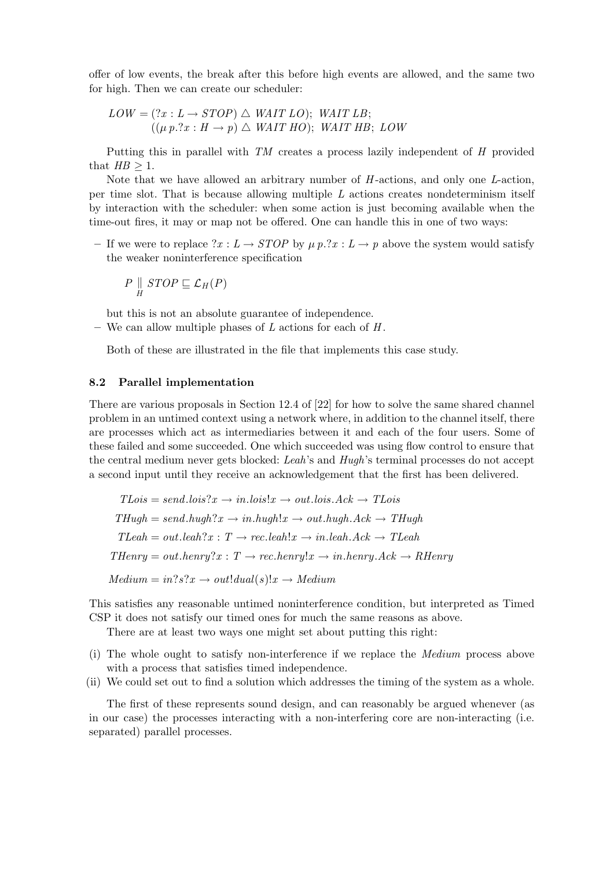offer of low events, the break after this before high events are allowed, and the same two for high. Then we can create our scheduler:

$$
LOW = (?x : L \rightarrow STOP) \triangle
$$
 *WAIT LO*); *WAIT LB*;  

$$
((\mu p.?x : H \rightarrow p) \triangle
$$
 *WAIT HO*); *WAIT HB*; *LOW*

Putting this in parallel with TM creates a process lazily independent of H provided that  $HB > 1$ .

Note that we have allowed an arbitrary number of  $H$ -actions, and only one  $L$ -action, per time slot. That is because allowing multiple  $L$  actions creates nondeterminism itself by interaction with the scheduler: when some action is just becoming available when the time-out fires, it may or map not be offered. One can handle this in one of two ways:

– If we were to replace  $?x : L \to STOP$  by  $\mu p.^?x : L \to p$  above the system would satisfy the weaker noninterference specification

$$
P \parallel \text{STOP} \sqsubseteq \mathcal{L}_H(P)
$$

but this is not an absolute guarantee of independence.

– We can allow multiple phases of  $L$  actions for each of  $H$ .

Both of these are illustrated in the file that implements this case study.

### 8.2 Parallel implementation

There are various proposals in Section 12.4 of [22] for how to solve the same shared channel problem in an untimed context using a network where, in addition to the channel itself, there are processes which act as intermediaries between it and each of the four users. Some of these failed and some succeeded. One which succeeded was using flow control to ensure that the central medium never gets blocked: Leah's and Hugh's terminal processes do not accept a second input until they receive an acknowledgement that the first has been delivered.

$$
TLois = send.lois?x \rightarrow in.lois!x \rightarrow out.lois. Ack \rightarrow TLois
$$
  
\n
$$
THugh = send.hugh?x \rightarrow in.hugh!x \rightarrow out.hugh. Ack \rightarrow THugh
$$
  
\n
$$
TLeah = out.leah?x : T \rightarrow rec.leah!x \rightarrow in.leah. Ack \rightarrow TLeah
$$
  
\n
$$
THenry = out.henry?x : T \rightarrow rec.henry!x \rightarrow in.henry. Ack \rightarrow RHenry
$$
  
\n
$$
Medium = in?s?x \rightarrow out!dual(s)!x \rightarrow Medium
$$

This satisfies any reasonable untimed noninterference condition, but interpreted as Timed CSP it does not satisfy our timed ones for much the same reasons as above.

There are at least two ways one might set about putting this right:

- (i) The whole ought to satisfy non-interference if we replace the Medium process above with a process that satisfies timed independence.
- (ii) We could set out to find a solution which addresses the timing of the system as a whole.

The first of these represents sound design, and can reasonably be argued whenever (as in our case) the processes interacting with a non-interfering core are non-interacting (i.e. separated) parallel processes.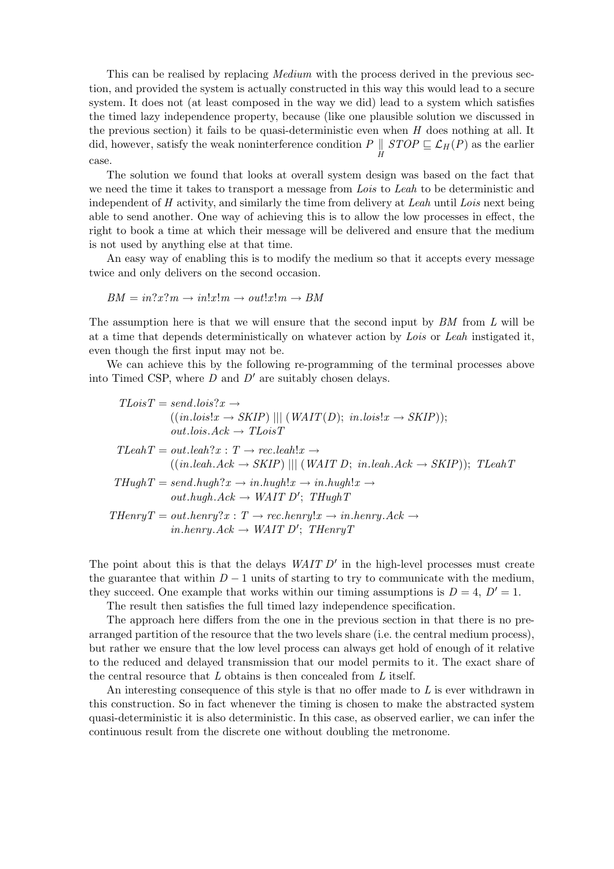This can be realised by replacing *Medium* with the process derived in the previous section, and provided the system is actually constructed in this way this would lead to a secure system. It does not (at least composed in the way we did) lead to a system which satisfies the timed lazy independence property, because (like one plausible solution we discussed in the previous section) it fails to be quasi-deterministic even when  $H$  does nothing at all. It did, however, satisfy the weak noninterference condition  $P \parallel$  $\parallel$  *STOP*  $\sqsubseteq$   $\mathcal{L}_H(P)$  as the earlier case.

The solution we found that looks at overall system design was based on the fact that we need the time it takes to transport a message from Lois to Leah to be deterministic and independent of H activity, and similarly the time from delivery at Leah until Lois next being able to send another. One way of achieving this is to allow the low processes in effect, the right to book a time at which their message will be delivered and ensure that the medium is not used by anything else at that time.

An easy way of enabling this is to modify the medium so that it accepts every message twice and only delivers on the second occasion.

$$
BM = in?x?m \rightarrow in!x!m \rightarrow out!x!m \rightarrow BM
$$

The assumption here is that we will ensure that the second input by BM from L will be at a time that depends deterministically on whatever action by Lois or Leah instigated it, even though the first input may not be.

We can achieve this by the following re-programming of the terminal processes above into Timed CSP, where  $D$  and  $D'$  are suitably chosen delays.

$$
TLoisT = send.lois?x \rightarrow
$$
  
\n
$$
((in.lois!x \rightarrow SKIP) ||| (WAIT(D); in.lois!x \rightarrow SKIP));
$$
  
\n
$$
out.lois.Ack \rightarrow TLoisT
$$
  
\n
$$
TLeahT = out.leah?x : T \rightarrow rec.leah!x \rightarrow
$$
  
\n
$$
((in.leah.Ack \rightarrow SKIP) ||| (WAIT D; in.leah.Ack \rightarrow SKIP)); TLeahT
$$
  
\n
$$
THughT = send.hugh?x \rightarrow in.hugh!x \rightarrow in.hugh!x \rightarrow
$$
  
\n
$$
out.hugh.Ack \rightarrow WAIT D'; THughT
$$
  
\n
$$
THenryT = out.henry?x : T \rightarrow rec.henry!x \rightarrow in.henry.Ack \rightarrow
$$
  
\n
$$
in.henry.Ack \rightarrow WAIT D'; THenryT
$$

The point about this is that the delays  $WAIT D'$  in the high-level processes must create the guarantee that within  $D-1$  units of starting to try to communicate with the medium, they succeed. One example that works within our timing assumptions is  $D = 4$ ,  $D' = 1$ .

The result then satisfies the full timed lazy independence specification.

The approach here differs from the one in the previous section in that there is no prearranged partition of the resource that the two levels share (i.e. the central medium process), but rather we ensure that the low level process can always get hold of enough of it relative to the reduced and delayed transmission that our model permits to it. The exact share of the central resource that L obtains is then concealed from L itself.

An interesting consequence of this style is that no offer made to  $L$  is ever withdrawn in this construction. So in fact whenever the timing is chosen to make the abstracted system quasi-deterministic it is also deterministic. In this case, as observed earlier, we can infer the continuous result from the discrete one without doubling the metronome.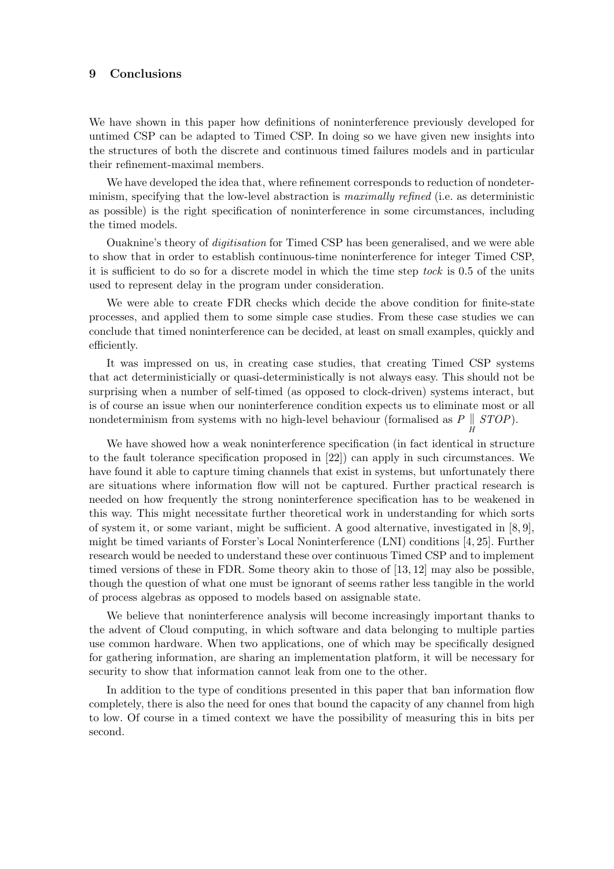# 9 Conclusions

We have shown in this paper how definitions of noninterference previously developed for untimed CSP can be adapted to Timed CSP. In doing so we have given new insights into the structures of both the discrete and continuous timed failures models and in particular their refinement-maximal members.

We have developed the idea that, where refinement corresponds to reduction of nondeterminism, specifying that the low-level abstraction is maximally refined (i.e. as deterministic as possible) is the right specification of noninterference in some circumstances, including the timed models.

Ouaknine's theory of digitisation for Timed CSP has been generalised, and we were able to show that in order to establish continuous-time noninterference for integer Timed CSP, it is sufficient to do so for a discrete model in which the time step tock is 0.5 of the units used to represent delay in the program under consideration.

We were able to create FDR checks which decide the above condition for finite-state processes, and applied them to some simple case studies. From these case studies we can conclude that timed noninterference can be decided, at least on small examples, quickly and efficiently.

It was impressed on us, in creating case studies, that creating Timed CSP systems that act deterministicially or quasi-deterministically is not always easy. This should not be surprising when a number of self-timed (as opposed to clock-driven) systems interact, but is of course an issue when our noninterference condition expects us to eliminate most or all nondeterminism from systems with no high-level behaviour (formalised as  $P \parallel$ H STOP).

We have showed how a weak noninterference specification (in fact identical in structure to the fault tolerance specification proposed in [22]) can apply in such circumstances. We have found it able to capture timing channels that exist in systems, but unfortunately there are situations where information flow will not be captured. Further practical research is needed on how frequently the strong noninterference specification has to be weakened in this way. This might necessitate further theoretical work in understanding for which sorts of system it, or some variant, might be sufficient. A good alternative, investigated in  $[8, 9]$ , might be timed variants of Forster's Local Noninterference (LNI) conditions [4, 25]. Further research would be needed to understand these over continuous Timed CSP and to implement timed versions of these in FDR. Some theory akin to those of [13, 12] may also be possible, though the question of what one must be ignorant of seems rather less tangible in the world of process algebras as opposed to models based on assignable state.

We believe that noninterference analysis will become increasingly important thanks to the advent of Cloud computing, in which software and data belonging to multiple parties use common hardware. When two applications, one of which may be specifically designed for gathering information, are sharing an implementation platform, it will be necessary for security to show that information cannot leak from one to the other.

In addition to the type of conditions presented in this paper that ban information flow completely, there is also the need for ones that bound the capacity of any channel from high to low. Of course in a timed context we have the possibility of measuring this in bits per second.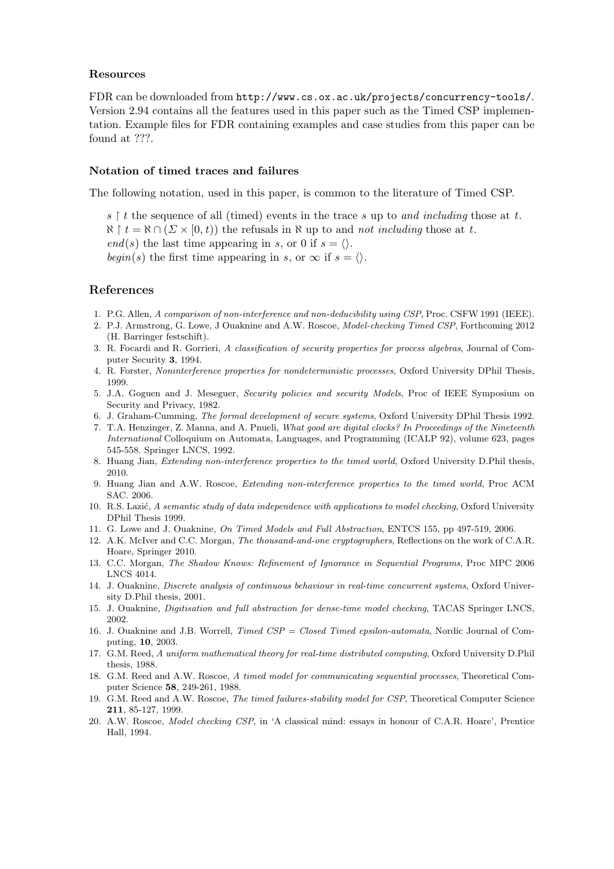#### Resources

FDR can be downloaded from http://www.cs.ox.ac.uk/projects/concurrency-tools/. Version 2.94 contains all the features used in this paper such as the Timed CSP implementation. Example files for FDR containing examples and case studies from this paper can be found at ???.

#### Notation of timed traces and failures

The following notation, used in this paper, is common to the literature of Timed CSP.

- s  $\restriction$  t the sequence of all (timed) events in the trace s up to and including those at t.
- $\aleph \restriction t = \aleph \cap (\Sigma \times [0, t))$  the refusals in  $\aleph$  up to and not including those at t.

end(s) the last time appearing in s, or 0 if  $s = \langle \rangle$ .

begin(s) the first time appearing in s, or  $\infty$  if  $s = \langle \rangle$ .

# References

- 1. P.G. Allen, A comparison of non-interference and non-deducibility using CSP, Proc. CSFW 1991 (IEEE).
- 2. P.J. Armstrong, G. Lowe, J Ouaknine and A.W. Roscoe, Model-checking Timed CSP, Forthcoming 2012 (H. Barringer festschift).
- 3. R. Focardi and R. Gorrieri, A classification of security properties for process algebras, Journal of Computer Security 3, 1994.
- 4. R. Forster, Noninterference properties for nondeterministic processes, Oxford University DPhil Thesis, 1999.
- 5. J.A. Goguen and J. Meseguer, Security policies and security Models, Proc of IEEE Symposium on Security and Privacy, 1982.
- 6. J. Graham-Cumming, The formal development of secure systems, Oxford University DPhil Thesis 1992.
- 7. T.A. Henzinger, Z. Manna, and A. Pnueli, What good are digital clocks? In Proceedings of the Nineteenth International Colloquium on Automata, Languages, and Programming (ICALP 92), volume 623, pages 545-558. Springer LNCS, 1992.
- 8. Huang Jian, Extending non-interference properties to the timed world, Oxford University D.Phil thesis, 2010.
- 9. Huang Jian and A.W. Roscoe, Extending non-interference properties to the timed world, Proc ACM SAC. 2006.
- 10. R.S. Lazić, A semantic study of data independence with applications to model checking, Oxford University DPhil Thesis 1999.
- 11. G. Lowe and J. Ouaknine, On Timed Models and Full Abstraction, ENTCS 155, pp 497-519, 2006.
- 12. A.K. McIver and C.C. Morgan, The thousand-and-one cryptographers, Reflections on the work of C.A.R. Hoare, Springer 2010.
- 13. C.C. Morgan, The Shadow Knows: Refinement of Ignorance in Sequential Programs, Proc MPC 2006 LNCS 4014.
- 14. J. Ouaknine, Discrete analysis of continuous behaviour in real-time concurrent systems, Oxford University D.Phil thesis, 2001.
- 15. J. Ouaknine, Digitisation and full abstraction for dense-time model checking, TACAS Springer LNCS, 2002.
- 16. J. Ouaknine and J.B. Worrell, Timed CSP = Closed Timed epsilon-automata, Nordic Journal of Computing, 10, 2003.
- 17. G.M. Reed, A uniform mathematical theory for real-time distributed computing, Oxford University D.Phil thesis, 1988.
- 18. G.M. Reed and A.W. Roscoe, A timed model for communicating sequential processes, Theoretical Computer Science 58, 249-261, 1988.
- 19. G.M. Reed and A.W. Roscoe, The timed failures-stability model for CSP, Theoretical Computer Science 211, 85-127, 1999.
- 20. A.W. Roscoe, Model checking CSP, in 'A classical mind: essays in honour of C.A.R. Hoare', Prentice Hall, 1994.